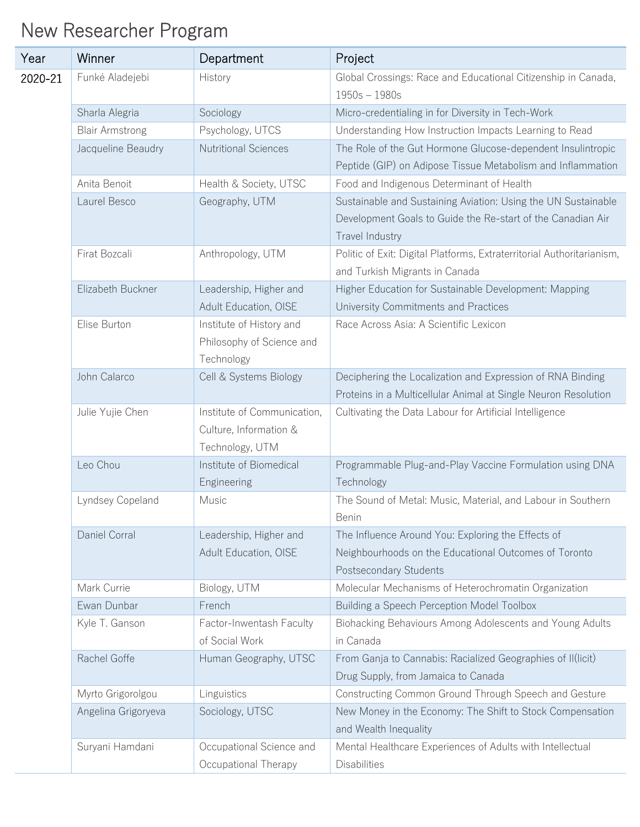## New Researcher Program

| Year    | Winner                 | Department                                                               | Project                                                                                                                                         |
|---------|------------------------|--------------------------------------------------------------------------|-------------------------------------------------------------------------------------------------------------------------------------------------|
| 2020-21 | Funké Aladejebi        | History                                                                  | Global Crossings: Race and Educational Citizenship in Canada,<br>$1950s - 1980s$                                                                |
|         | Sharla Alegria         | Sociology                                                                | Micro-credentialing in for Diversity in Tech-Work                                                                                               |
|         | <b>Blair Armstrong</b> | Psychology, UTCS                                                         | Understanding How Instruction Impacts Learning to Read                                                                                          |
|         | Jacqueline Beaudry     | <b>Nutritional Sciences</b>                                              | The Role of the Gut Hormone Glucose-dependent Insulintropic<br>Peptide (GIP) on Adipose Tissue Metabolism and Inflammation                      |
|         | Anita Benoit           | Health & Society, UTSC                                                   | Food and Indigenous Determinant of Health                                                                                                       |
|         | Laurel Besco           | Geography, UTM                                                           | Sustainable and Sustaining Aviation: Using the UN Sustainable<br>Development Goals to Guide the Re-start of the Canadian Air<br>Travel Industry |
|         | Firat Bozcali          | Anthropology, UTM                                                        | Politic of Exit: Digital Platforms, Extraterritorial Authoritarianism,<br>and Turkish Migrants in Canada                                        |
|         | Elizabeth Buckner      | Leadership, Higher and<br>Adult Education, OISE                          | Higher Education for Sustainable Development: Mapping<br>University Commitments and Practices                                                   |
|         | Elise Burton           | Institute of History and<br>Philosophy of Science and<br>Technology      | Race Across Asia: A Scientific Lexicon                                                                                                          |
|         | John Calarco           | Cell & Systems Biology                                                   | Deciphering the Localization and Expression of RNA Binding<br>Proteins in a Multicellular Animal at Single Neuron Resolution                    |
|         | Julie Yujie Chen       | Institute of Communication,<br>Culture, Information &<br>Technology, UTM | Cultivating the Data Labour for Artificial Intelligence                                                                                         |
|         | Leo Chou               | Institute of Biomedical<br>Engineering                                   | Programmable Plug-and-Play Vaccine Formulation using DNA<br>Technology                                                                          |
|         | Lyndsey Copeland       | Music                                                                    | The Sound of Metal: Music, Material, and Labour in Southern<br>Benin                                                                            |
|         | Daniel Corral          | Leadership, Higher and<br>Adult Education, OISE                          | The Influence Around You: Exploring the Effects of<br>Neighbourhoods on the Educational Outcomes of Toronto<br>Postsecondary Students           |
|         | Mark Currie            | Biology, UTM                                                             | Molecular Mechanisms of Heterochromatin Organization                                                                                            |
|         | Ewan Dunbar            | French                                                                   | Building a Speech Perception Model Toolbox                                                                                                      |
|         | Kyle T. Ganson         | Factor-Inwentash Faculty<br>of Social Work                               | Biohacking Behaviours Among Adolescents and Young Adults<br>in Canada                                                                           |
|         | Rachel Goffe           | Human Geography, UTSC                                                    | From Ganja to Cannabis: Racialized Geographies of II(licit)<br>Drug Supply, from Jamaica to Canada                                              |
|         | Myrto Grigorolgou      | Linguistics                                                              | Constructing Common Ground Through Speech and Gesture                                                                                           |
|         | Angelina Grigoryeva    | Sociology, UTSC                                                          | New Money in the Economy: The Shift to Stock Compensation<br>and Wealth Inequality                                                              |
|         | Suryani Hamdani        | Occupational Science and<br>Occupational Therapy                         | Mental Healthcare Experiences of Adults with Intellectual<br><b>Disabilities</b>                                                                |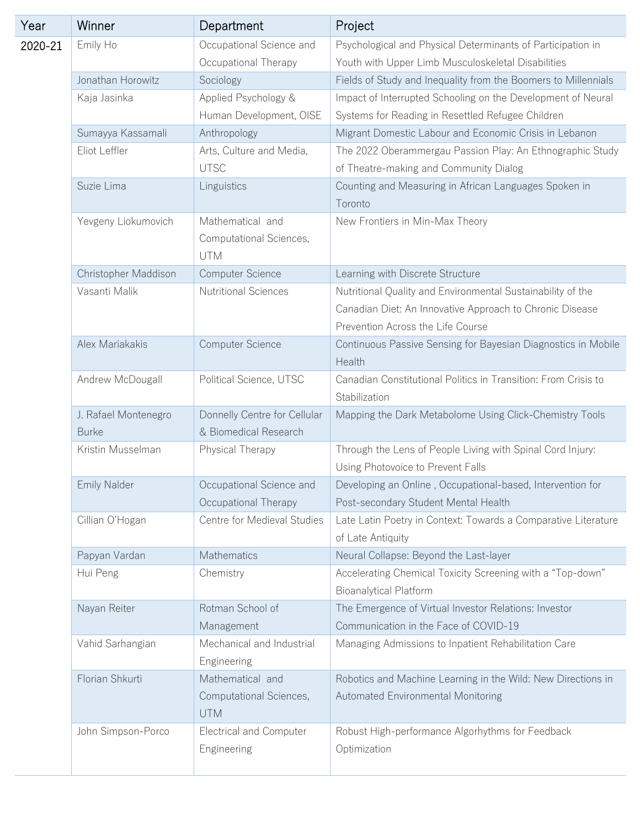| Year    | Winner               | Department                                                | Project                                                                                                                                                      |
|---------|----------------------|-----------------------------------------------------------|--------------------------------------------------------------------------------------------------------------------------------------------------------------|
| 2020-21 | Emily Ho             | Occupational Science and                                  | Psychological and Physical Determinants of Participation in                                                                                                  |
|         |                      | Occupational Therapy                                      | Youth with Upper Limb Musculoskeletal Disabilities                                                                                                           |
|         | Jonathan Horowitz    | Sociology                                                 | Fields of Study and Inequality from the Boomers to Millennials                                                                                               |
|         | Kaja Jasinka         | Applied Psychology &                                      | Impact of Interrupted Schooling on the Development of Neural                                                                                                 |
|         |                      | Human Development, OISE                                   | Systems for Reading in Resettled Refugee Children                                                                                                            |
|         | Sumayya Kassamali    | Anthropology                                              | Migrant Domestic Labour and Economic Crisis in Lebanon                                                                                                       |
|         | Eliot Leffler        | Arts, Culture and Media,<br><b>UTSC</b>                   | The 2022 Oberammergau Passion Play: An Ethnographic Study<br>of Theatre-making and Community Dialog                                                          |
|         | Suzie Lima           | Linguistics                                               | Counting and Measuring in African Languages Spoken in<br>Toronto                                                                                             |
|         | Yevgeny Liokumovich  | Mathematical and<br>Computational Sciences,<br><b>UTM</b> | New Frontiers in Min-Max Theory                                                                                                                              |
|         | Christopher Maddison | Computer Science                                          | Learning with Discrete Structure                                                                                                                             |
|         | Vasanti Malik        | <b>Nutritional Sciences</b>                               | Nutritional Quality and Environmental Sustainability of the<br>Canadian Diet: An Innovative Approach to Chronic Disease<br>Prevention Across the Life Course |
|         | Alex Mariakakis      | Computer Science                                          | Continuous Passive Sensing for Bayesian Diagnostics in Mobile<br>Health                                                                                      |
|         | Andrew McDougall     | Political Science, UTSC                                   | Canadian Constitutional Politics in Transition: From Crisis to<br>Stabilization                                                                              |
|         | J. Rafael Montenegro | Donnelly Centre for Cellular                              | Mapping the Dark Metabolome Using Click-Chemistry Tools                                                                                                      |
|         | <b>Burke</b>         | & Biomedical Research                                     |                                                                                                                                                              |
|         | Kristin Musselman    | Physical Therapy                                          | Through the Lens of People Living with Spinal Cord Injury:<br>Using Photovoice to Prevent Falls                                                              |
|         | <b>Emily Nalder</b>  | Occupational Science and<br>Occupational Therapy          | Developing an Online, Occupational-based, Intervention for<br>Post-secondary Student Mental Health                                                           |
|         | Cillian O'Hogan      | Centre for Medieval Studies                               | Late Latin Poetry in Context: Towards a Comparative Literature<br>of Late Antiquity                                                                          |
|         | Papyan Vardan        | Mathematics                                               | Neural Collapse: Beyond the Last-layer                                                                                                                       |
|         | Hui Peng             | Chemistry                                                 | Accelerating Chemical Toxicity Screening with a "Top-down"<br><b>Bioanalytical Platform</b>                                                                  |
|         | Nayan Reiter         | Rotman School of                                          | The Emergence of Virtual Investor Relations: Investor                                                                                                        |
|         |                      | Management                                                | Communication in the Face of COVID-19                                                                                                                        |
|         | Vahid Sarhangian     | Mechanical and Industrial<br>Engineering                  | Managing Admissions to Inpatient Rehabilitation Care                                                                                                         |
|         | Florian Shkurti      | Mathematical and<br>Computational Sciences,<br><b>UTM</b> | Robotics and Machine Learning in the Wild: New Directions in<br>Automated Environmental Monitoring                                                           |
|         | John Simpson-Porco   | <b>Electrical and Computer</b><br>Engineering             | Robust High-performance Algorhythms for Feedback<br>Optimization                                                                                             |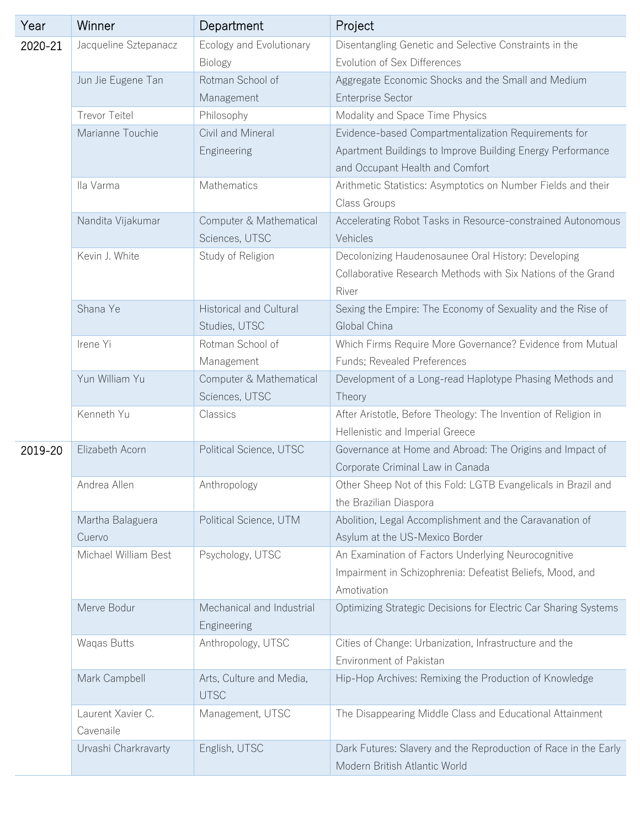| Year    | Winner                | Department                                      | Project                                                                                                             |
|---------|-----------------------|-------------------------------------------------|---------------------------------------------------------------------------------------------------------------------|
| 2020-21 | Jacqueline Sztepanacz | Ecology and Evolutionary                        | Disentangling Genetic and Selective Constraints in the                                                              |
|         |                       | <b>Biology</b>                                  | Evolution of Sex Differences                                                                                        |
|         | Jun Jie Eugene Tan    | Rotman School of                                | Aggregate Economic Shocks and the Small and Medium                                                                  |
|         |                       | Management                                      | <b>Enterprise Sector</b>                                                                                            |
|         | <b>Trevor Teitel</b>  | Philosophy                                      | Modality and Space Time Physics                                                                                     |
|         | Marianne Touchie      | Civil and Mineral                               | Evidence-based Compartmentalization Requirements for                                                                |
|         |                       | Engineering                                     | Apartment Buildings to Improve Building Energy Performance<br>and Occupant Health and Comfort                       |
|         | Ila Varma             | Mathematics                                     | Arithmetic Statistics: Asymptotics on Number Fields and their                                                       |
|         |                       |                                                 | Class Groups                                                                                                        |
|         | Nandita Vijakumar     | Computer & Mathematical                         | Accelerating Robot Tasks in Resource-constrained Autonomous                                                         |
|         |                       | Sciences, UTSC                                  | Vehicles                                                                                                            |
|         | Kevin J. White        | Study of Religion                               | Decolonizing Haudenosaunee Oral History: Developing<br>Collaborative Research Methods with Six Nations of the Grand |
|         |                       |                                                 | River                                                                                                               |
|         | Shana Ye              | <b>Historical and Cultural</b><br>Studies, UTSC | Sexing the Empire: The Economy of Sexuality and the Rise of<br>Global China                                         |
|         | Irene Yi              | Rotman School of                                | Which Firms Require More Governance? Evidence from Mutual                                                           |
|         |                       | Management                                      | Funds; Revealed Preferences                                                                                         |
|         | Yun William Yu        | Computer & Mathematical                         | Development of a Long-read Haplotype Phasing Methods and                                                            |
|         |                       | Sciences, UTSC                                  | Theory                                                                                                              |
|         | Kenneth Yu            | Classics                                        | After Aristotle, Before Theology: The Invention of Religion in<br>Hellenistic and Imperial Greece                   |
| 2019-20 | Elizabeth Acorn       | Political Science, UTSC                         | Governance at Home and Abroad: The Origins and Impact of                                                            |
|         |                       |                                                 | Corporate Criminal Law in Canada                                                                                    |
|         | Andrea Allen          | Anthropology                                    | Other Sheep Not of this Fold: LGTB Evangelicals in Brazil and<br>the Brazilian Diaspora                             |
|         | Martha Balaguera      | Political Science, UTM                          | Abolition, Legal Accomplishment and the Caravanation of                                                             |
|         | Cuervo                |                                                 | Asylum at the US-Mexico Border                                                                                      |
|         | Michael William Best  | Psychology, UTSC                                | An Examination of Factors Underlying Neurocognitive                                                                 |
|         |                       |                                                 | Impairment in Schizophrenia: Defeatist Beliefs, Mood, and<br>Amotivation                                            |
|         | Merve Bodur           | Mechanical and Industrial                       | Optimizing Strategic Decisions for Electric Car Sharing Systems                                                     |
|         |                       | Engineering                                     |                                                                                                                     |
|         | Waqas Butts           | Anthropology, UTSC                              | Cities of Change: Urbanization, Infrastructure and the                                                              |
|         |                       |                                                 | Environment of Pakistan                                                                                             |
|         | Mark Campbell         | Arts, Culture and Media,<br><b>UTSC</b>         | Hip-Hop Archives: Remixing the Production of Knowledge                                                              |
|         | Laurent Xavier C.     | Management, UTSC                                | The Disappearing Middle Class and Educational Attainment                                                            |
|         | Cavenaile             |                                                 |                                                                                                                     |
|         | Urvashi Charkravarty  | English, UTSC                                   | Dark Futures: Slavery and the Reproduction of Race in the Early<br>Modern British Atlantic World                    |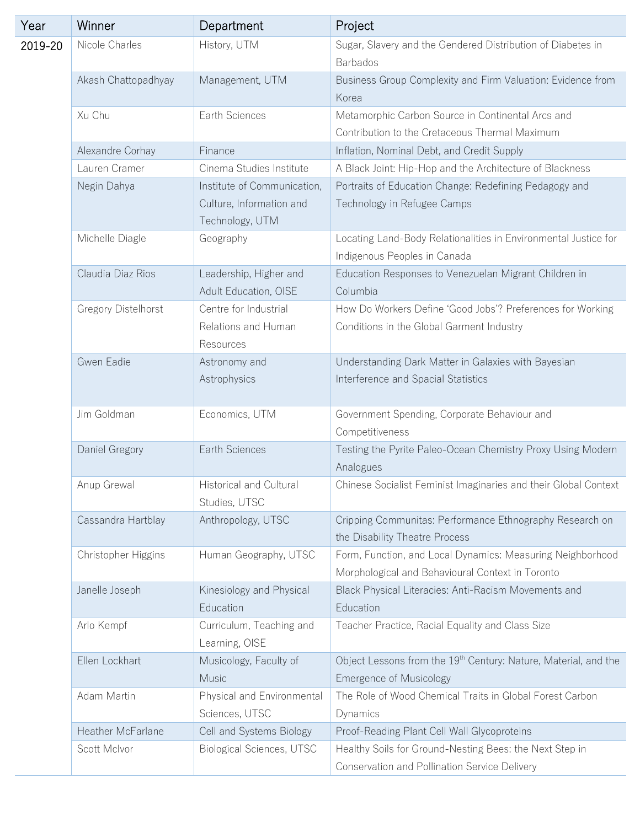| Year    | Winner              | Department                                                                 | Project                                                                                                        |
|---------|---------------------|----------------------------------------------------------------------------|----------------------------------------------------------------------------------------------------------------|
| 2019-20 | Nicole Charles      | History, UTM                                                               | Sugar, Slavery and the Gendered Distribution of Diabetes in<br><b>Barbados</b>                                 |
|         | Akash Chattopadhyay | Management, UTM                                                            | Business Group Complexity and Firm Valuation: Evidence from<br>Korea                                           |
|         | Xu Chu              | Earth Sciences                                                             | Metamorphic Carbon Source in Continental Arcs and<br>Contribution to the Cretaceous Thermal Maximum            |
|         | Alexandre Corhay    | Finance                                                                    | Inflation, Nominal Debt, and Credit Supply                                                                     |
|         | Lauren Cramer       | Cinema Studies Institute                                                   | A Black Joint: Hip-Hop and the Architecture of Blackness                                                       |
|         | Negin Dahya         | Institute of Communication,<br>Culture, Information and<br>Technology, UTM | Portraits of Education Change: Redefining Pedagogy and<br>Technology in Refugee Camps                          |
|         | Michelle Diagle     | Geography                                                                  | Locating Land-Body Relationalities in Environmental Justice for<br>Indigenous Peoples in Canada                |
|         | Claudia Diaz Rios   | Leadership, Higher and<br>Adult Education, OISE                            | Education Responses to Venezuelan Migrant Children in<br>Columbia                                              |
|         | Gregory Distelhorst | Centre for Industrial<br>Relations and Human<br>Resources                  | How Do Workers Define 'Good Jobs'? Preferences for Working<br>Conditions in the Global Garment Industry        |
|         | Gwen Eadie          | Astronomy and<br>Astrophysics                                              | Understanding Dark Matter in Galaxies with Bayesian<br>Interference and Spacial Statistics                     |
|         | Jim Goldman         | Economics, UTM                                                             | Government Spending, Corporate Behaviour and<br>Competitiveness                                                |
|         | Daniel Gregory      | Earth Sciences                                                             | Testing the Pyrite Paleo-Ocean Chemistry Proxy Using Modern<br>Analogues                                       |
|         | Anup Grewal         | Historical and Cultural<br>Studies, UTSC                                   | Chinese Socialist Feminist Imaginaries and their Global Context                                                |
|         | Cassandra Hartblay  | Anthropology, UTSC                                                         | Cripping Communitas: Performance Ethnography Research on<br>the Disability Theatre Process                     |
|         | Christopher Higgins | Human Geography, UTSC                                                      | Form, Function, and Local Dynamics: Measuring Neighborhood<br>Morphological and Behavioural Context in Toronto |
|         | Janelle Joseph      | Kinesiology and Physical<br>Education                                      | Black Physical Literacies: Anti-Racism Movements and<br>Education                                              |
|         | Arlo Kempf          | Curriculum, Teaching and<br>Learning, OISE                                 | Teacher Practice, Racial Equality and Class Size                                                               |
|         | Ellen Lockhart      | Musicology, Faculty of<br><b>Music</b>                                     | Object Lessons from the 19 <sup>th</sup> Century: Nature, Material, and the<br><b>Emergence of Musicology</b>  |
|         | Adam Martin         | Physical and Environmental<br>Sciences, UTSC                               | The Role of Wood Chemical Traits in Global Forest Carbon<br>Dynamics                                           |
|         | Heather McFarlane   | Cell and Systems Biology                                                   | Proof-Reading Plant Cell Wall Glycoproteins                                                                    |
|         | Scott McIvor        | Biological Sciences, UTSC                                                  | Healthy Soils for Ground-Nesting Bees: the Next Step in<br>Conservation and Pollination Service Delivery       |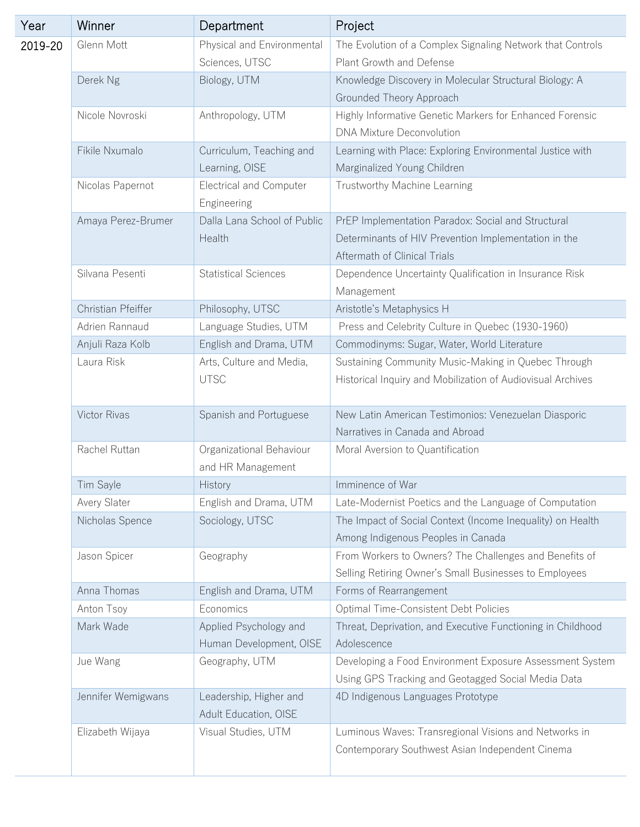| Year    | Winner                  | Department                                    | Project                                                                    |
|---------|-------------------------|-----------------------------------------------|----------------------------------------------------------------------------|
| 2019-20 | Glenn Mott              | Physical and Environmental                    | The Evolution of a Complex Signaling Network that Controls                 |
|         |                         | Sciences, UTSC                                | Plant Growth and Defense                                                   |
|         | Derek Ng                | Biology, UTM                                  | Knowledge Discovery in Molecular Structural Biology: A                     |
|         |                         |                                               | Grounded Theory Approach                                                   |
|         | Nicole Novroski         | Anthropology, UTM                             | Highly Informative Genetic Markers for Enhanced Forensic                   |
|         |                         |                                               | <b>DNA Mixture Deconvolution</b>                                           |
|         | Fikile Nxumalo          | Curriculum, Teaching and                      | Learning with Place: Exploring Environmental Justice with                  |
|         |                         | Learning, OISE                                | Marginalized Young Children                                                |
|         | Nicolas Papernot        | <b>Electrical and Computer</b><br>Engineering | Trustworthy Machine Learning                                               |
|         | Amaya Perez-Brumer      | Dalla Lana School of Public                   | PrEP Implementation Paradox: Social and Structural                         |
|         |                         | Health                                        | Determinants of HIV Prevention Implementation in the                       |
|         |                         |                                               | Aftermath of Clinical Trials                                               |
|         | Silvana Pesenti         | <b>Statistical Sciences</b>                   | Dependence Uncertainty Qualification in Insurance Risk                     |
|         |                         |                                               | Management                                                                 |
|         | Christian Pfeiffer      | Philosophy, UTSC                              | Aristotle's Metaphysics H                                                  |
|         | Adrien Rannaud          | Language Studies, UTM                         | Press and Celebrity Culture in Quebec (1930-1960)                          |
|         | Anjuli Raza Kolb        | English and Drama, UTM                        | Commodinyms: Sugar, Water, World Literature                                |
|         | Laura Risk              | Arts, Culture and Media,                      | Sustaining Community Music-Making in Quebec Through                        |
|         |                         | <b>UTSC</b>                                   | Historical Inquiry and Mobilization of Audiovisual Archives                |
|         |                         |                                               |                                                                            |
|         | Victor Rivas            | Spanish and Portuguese                        | New Latin American Testimonios: Venezuelan Diasporic                       |
|         |                         |                                               | Narratives in Canada and Abroad                                            |
|         | Rachel Ruttan           | Organizational Behaviour                      | Moral Aversion to Quantification                                           |
|         |                         | and HR Management                             |                                                                            |
|         | Tim Sayle               | <b>History</b>                                | Imminence of War                                                           |
|         | Avery Slater            | English and Drama, UTM                        | Late-Modernist Poetics and the Language of Computation                     |
|         | Nicholas Spence         | Sociology, UTSC                               | The Impact of Social Context (Income Inequality) on Health                 |
|         |                         |                                               | Among Indigenous Peoples in Canada                                         |
|         | Jason Spicer            | Geography                                     | From Workers to Owners? The Challenges and Benefits of                     |
|         |                         |                                               | Selling Retiring Owner's Small Businesses to Employees                     |
|         | Anna Thomas             | English and Drama, UTM                        | Forms of Rearrangement                                                     |
|         | Anton Tsoy<br>Mark Wade | Economics<br>Applied Psychology and           | Optimal Time-Consistent Debt Policies                                      |
|         |                         | Human Development, OISE                       | Threat, Deprivation, and Executive Functioning in Childhood<br>Adolescence |
|         | Jue Wang                | Geography, UTM                                | Developing a Food Environment Exposure Assessment System                   |
|         |                         |                                               | Using GPS Tracking and Geotagged Social Media Data                         |
|         | Jennifer Wemigwans      | Leadership, Higher and                        | 4D Indigenous Languages Prototype                                          |
|         |                         | Adult Education, OISE                         |                                                                            |
|         | Elizabeth Wijaya        | Visual Studies, UTM                           | Luminous Waves: Transregional Visions and Networks in                      |
|         |                         |                                               | Contemporary Southwest Asian Independent Cinema                            |
|         |                         |                                               |                                                                            |
|         |                         |                                               |                                                                            |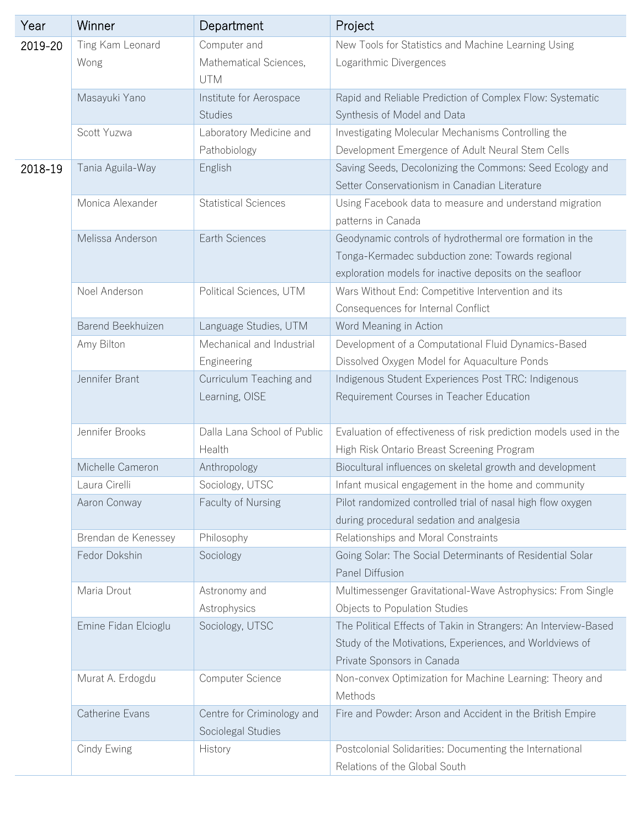| Year    | Winner               | Department                  | Project                                                           |
|---------|----------------------|-----------------------------|-------------------------------------------------------------------|
| 2019-20 | Ting Kam Leonard     | Computer and                | New Tools for Statistics and Machine Learning Using               |
|         | Wong                 | Mathematical Sciences,      | Logarithmic Divergences                                           |
|         |                      | <b>UTM</b>                  |                                                                   |
|         | Masayuki Yano        | Institute for Aerospace     | Rapid and Reliable Prediction of Complex Flow: Systematic         |
|         |                      | <b>Studies</b>              | Synthesis of Model and Data                                       |
|         | Scott Yuzwa          | Laboratory Medicine and     | Investigating Molecular Mechanisms Controlling the                |
|         |                      | Pathobiology                | Development Emergence of Adult Neural Stem Cells                  |
| 2018-19 | Tania Aguila-Way     | English                     | Saving Seeds, Decolonizing the Commons: Seed Ecology and          |
|         |                      |                             | Setter Conservationism in Canadian Literature                     |
|         | Monica Alexander     | <b>Statistical Sciences</b> | Using Facebook data to measure and understand migration           |
|         |                      |                             | patterns in Canada                                                |
|         | Melissa Anderson     | Earth Sciences              | Geodynamic controls of hydrothermal ore formation in the          |
|         |                      |                             | Tonga-Kermadec subduction zone: Towards regional                  |
|         |                      |                             | exploration models for inactive deposits on the seafloor          |
|         | Noel Anderson        | Political Sciences, UTM     | Wars Without End: Competitive Intervention and its                |
|         |                      |                             | Consequences for Internal Conflict                                |
|         | Barend Beekhuizen    | Language Studies, UTM       | Word Meaning in Action                                            |
|         | Amy Bilton           | Mechanical and Industrial   | Development of a Computational Fluid Dynamics-Based               |
|         |                      | Engineering                 | Dissolved Oxygen Model for Aquaculture Ponds                      |
|         | Jennifer Brant       | Curriculum Teaching and     | Indigenous Student Experiences Post TRC: Indigenous               |
|         |                      | Learning, OISE              | Requirement Courses in Teacher Education                          |
|         |                      |                             |                                                                   |
|         | Jennifer Brooks      | Dalla Lana School of Public | Evaluation of effectiveness of risk prediction models used in the |
|         |                      | Health                      | High Risk Ontario Breast Screening Program                        |
|         | Michelle Cameron     | Anthropology                | Biocultural influences on skeletal growth and development         |
|         | Laura Cirelli        | Sociology, UTSC             | Infant musical engagement in the home and community               |
|         | Aaron Conway         | Faculty of Nursing          | Pilot randomized controlled trial of nasal high flow oxygen       |
|         |                      |                             | during procedural sedation and analgesia                          |
|         | Brendan de Kenessey  | Philosophy                  | Relationships and Moral Constraints                               |
|         | Fedor Dokshin        | Sociology                   | Going Solar: The Social Determinants of Residential Solar         |
|         |                      |                             | Panel Diffusion                                                   |
|         | Maria Drout          | Astronomy and               | Multimessenger Gravitational-Wave Astrophysics: From Single       |
|         |                      | Astrophysics                | Objects to Population Studies                                     |
|         | Emine Fidan Elcioglu | Sociology, UTSC             | The Political Effects of Takin in Strangers: An Interview-Based   |
|         |                      |                             | Study of the Motivations, Experiences, and Worldviews of          |
|         |                      |                             | Private Sponsors in Canada                                        |
|         | Murat A. Erdogdu     | Computer Science            | Non-convex Optimization for Machine Learning: Theory and          |
|         |                      |                             | Methods                                                           |
|         | Catherine Evans      | Centre for Criminology and  | Fire and Powder: Arson and Accident in the British Empire         |
|         |                      | Sociolegal Studies          |                                                                   |
|         | Cindy Ewing          | History                     | Postcolonial Solidarities: Documenting the International          |
|         |                      |                             | Relations of the Global South                                     |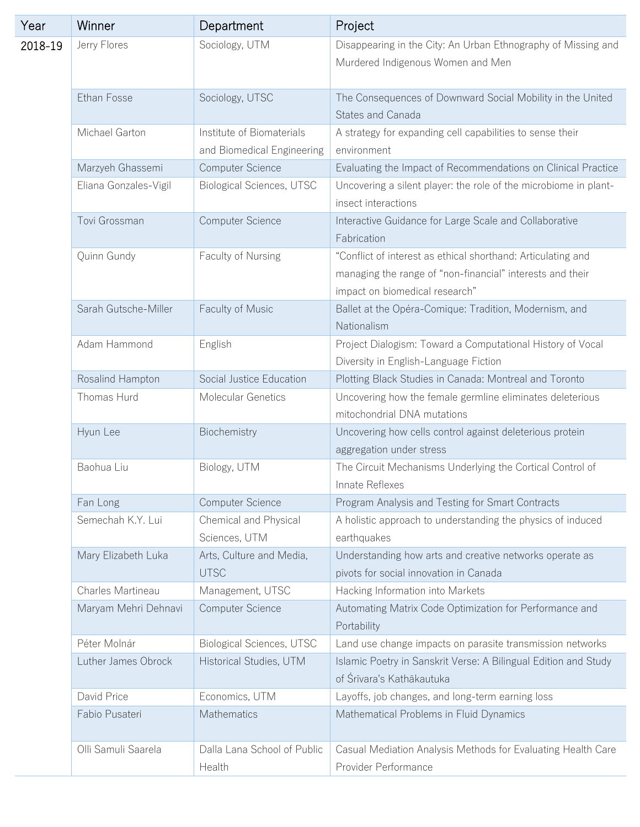| Year    | Winner                | Department                                              | Project                                                                                                                                                     |
|---------|-----------------------|---------------------------------------------------------|-------------------------------------------------------------------------------------------------------------------------------------------------------------|
| 2018-19 | Jerry Flores          | Sociology, UTM                                          | Disappearing in the City: An Urban Ethnography of Missing and<br>Murdered Indigenous Women and Men                                                          |
|         | Ethan Fosse           | Sociology, UTSC                                         | The Consequences of Downward Social Mobility in the United<br>States and Canada                                                                             |
|         | Michael Garton        | Institute of Biomaterials<br>and Biomedical Engineering | A strategy for expanding cell capabilities to sense their<br>environment                                                                                    |
|         | Marzyeh Ghassemi      | Computer Science                                        | Evaluating the Impact of Recommendations on Clinical Practice                                                                                               |
|         | Eliana Gonzales-Vigil | Biological Sciences, UTSC                               | Uncovering a silent player: the role of the microbiome in plant-<br>insect interactions                                                                     |
|         | Tovi Grossman         | Computer Science                                        | Interactive Guidance for Large Scale and Collaborative<br>Fabrication                                                                                       |
|         | Quinn Gundy           | Faculty of Nursing                                      | "Conflict of interest as ethical shorthand: Articulating and<br>managing the range of "non-financial" interests and their<br>impact on biomedical research" |
|         | Sarah Gutsche-Miller  | Faculty of Music                                        | Ballet at the Opéra-Comique: Tradition, Modernism, and<br>Nationalism                                                                                       |
|         | Adam Hammond          | English                                                 | Project Dialogism: Toward a Computational History of Vocal<br>Diversity in English-Language Fiction                                                         |
|         | Rosalind Hampton      | Social Justice Education                                | Plotting Black Studies in Canada: Montreal and Toronto                                                                                                      |
|         | Thomas Hurd           | Molecular Genetics                                      | Uncovering how the female germline eliminates deleterious<br>mitochondrial DNA mutations                                                                    |
|         | Hyun Lee              | Biochemistry                                            | Uncovering how cells control against deleterious protein<br>aggregation under stress                                                                        |
|         | Baohua Liu            | Biology, UTM                                            | The Circuit Mechanisms Underlying the Cortical Control of<br>Innate Reflexes                                                                                |
|         | Fan Long              | Computer Science                                        | Program Analysis and Testing for Smart Contracts                                                                                                            |
|         | Semechah K.Y. Lui     | Chemical and Physical<br>Sciences, UTM                  | A holistic approach to understanding the physics of induced<br>earthquakes                                                                                  |
|         | Mary Elizabeth Luka   | Arts, Culture and Media,<br><b>UTSC</b>                 | Understanding how arts and creative networks operate as<br>pivots for social innovation in Canada                                                           |
|         | Charles Martineau     | Management, UTSC                                        | Hacking Information into Markets                                                                                                                            |
|         | Maryam Mehri Dehnavi  | Computer Science                                        | Automating Matrix Code Optimization for Performance and<br>Portability                                                                                      |
|         | Péter Molnár          | <b>Biological Sciences, UTSC</b>                        | Land use change impacts on parasite transmission networks                                                                                                   |
|         | Luther James Obrock   | Historical Studies, UTM                                 | Islamic Poetry in Sanskrit Verse: A Bilingual Edition and Study<br>of Śrīvara's Kathākautuka                                                                |
|         | David Price           | Economics, UTM                                          | Layoffs, job changes, and long-term earning loss                                                                                                            |
|         | Fabio Pusateri        | Mathematics                                             | Mathematical Problems in Fluid Dynamics                                                                                                                     |
|         | Olli Samuli Saarela   | Dalla Lana School of Public<br>Health                   | Casual Mediation Analysis Methods for Evaluating Health Care<br>Provider Performance                                                                        |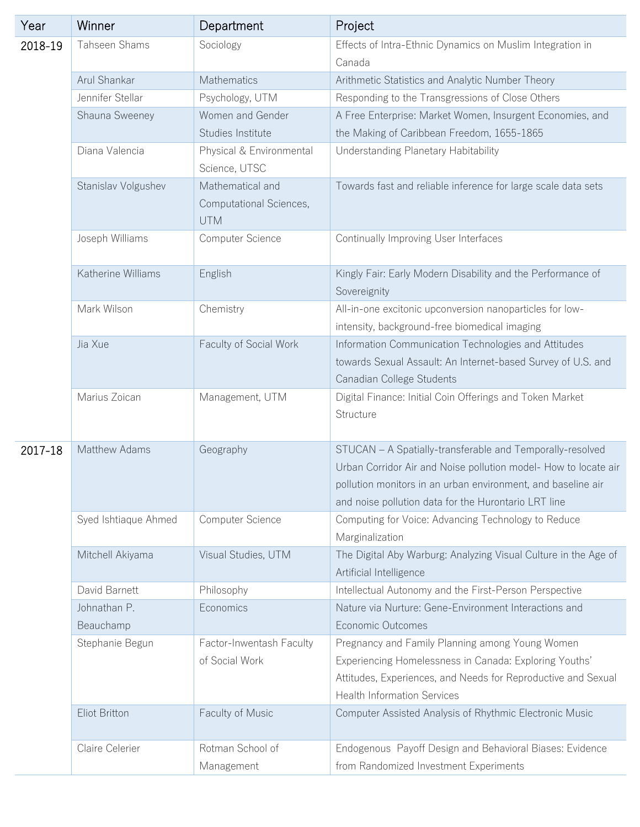| Year    | Winner               | Department                                                | Project                                                                                                                                                                                                                                              |
|---------|----------------------|-----------------------------------------------------------|------------------------------------------------------------------------------------------------------------------------------------------------------------------------------------------------------------------------------------------------------|
| 2018-19 | Tahseen Shams        | Sociology                                                 | Effects of Intra-Ethnic Dynamics on Muslim Integration in                                                                                                                                                                                            |
|         |                      |                                                           | Canada                                                                                                                                                                                                                                               |
|         | Arul Shankar         | Mathematics                                               | Arithmetic Statistics and Analytic Number Theory                                                                                                                                                                                                     |
|         | Jennifer Stellar     | Psychology, UTM                                           | Responding to the Transgressions of Close Others                                                                                                                                                                                                     |
|         | Shauna Sweeney       | Women and Gender                                          | A Free Enterprise: Market Women, Insurgent Economies, and                                                                                                                                                                                            |
|         |                      | Studies Institute                                         | the Making of Caribbean Freedom, 1655-1865                                                                                                                                                                                                           |
|         | Diana Valencia       | Physical & Environmental<br>Science, UTSC                 | Understanding Planetary Habitability                                                                                                                                                                                                                 |
|         | Stanislav Volgushev  | Mathematical and<br>Computational Sciences,<br><b>UTM</b> | Towards fast and reliable inference for large scale data sets                                                                                                                                                                                        |
|         | Joseph Williams      | Computer Science                                          | Continually Improving User Interfaces                                                                                                                                                                                                                |
|         | Katherine Williams   | English                                                   | Kingly Fair: Early Modern Disability and the Performance of<br>Sovereignity                                                                                                                                                                          |
|         | Mark Wilson          | Chemistry                                                 | All-in-one excitonic upconversion nanoparticles for low-<br>intensity, background-free biomedical imaging                                                                                                                                            |
|         | Jia Xue              | Faculty of Social Work                                    | Information Communication Technologies and Attitudes<br>towards Sexual Assault: An Internet-based Survey of U.S. and<br>Canadian College Students                                                                                                    |
|         | Marius Zoican        | Management, UTM                                           | Digital Finance: Initial Coin Offerings and Token Market<br>Structure                                                                                                                                                                                |
| 2017-18 | Matthew Adams        | Geography                                                 | STUCAN - A Spatially-transferable and Temporally-resolved<br>Urban Corridor Air and Noise pollution model- How to locate air<br>pollution monitors in an urban environment, and baseline air<br>and noise pollution data for the Hurontario LRT line |
|         | Syed Ishtiaque Ahmed | Computer Science                                          | Computing for Voice: Advancing Technology to Reduce<br>Marginalization                                                                                                                                                                               |
|         | Mitchell Akiyama     | Visual Studies, UTM                                       | The Digital Aby Warburg: Analyzing Visual Culture in the Age of<br>Artificial Intelligence                                                                                                                                                           |
|         | David Barnett        | Philosophy                                                | Intellectual Autonomy and the First-Person Perspective                                                                                                                                                                                               |
|         | Johnathan P.         | Economics                                                 | Nature via Nurture: Gene-Environment Interactions and                                                                                                                                                                                                |
|         | Beauchamp            |                                                           | Economic Outcomes                                                                                                                                                                                                                                    |
|         | Stephanie Begun      | Factor-Inwentash Faculty                                  | Pregnancy and Family Planning among Young Women                                                                                                                                                                                                      |
|         |                      | of Social Work                                            | Experiencing Homelessness in Canada: Exploring Youths'<br>Attitudes, Experiences, and Needs for Reproductive and Sexual<br><b>Health Information Services</b>                                                                                        |
|         | Eliot Britton        | Faculty of Music                                          | Computer Assisted Analysis of Rhythmic Electronic Music                                                                                                                                                                                              |
|         | Claire Celerier      | Rotman School of<br>Management                            | Endogenous Payoff Design and Behavioral Biases: Evidence<br>from Randomized Investment Experiments                                                                                                                                                   |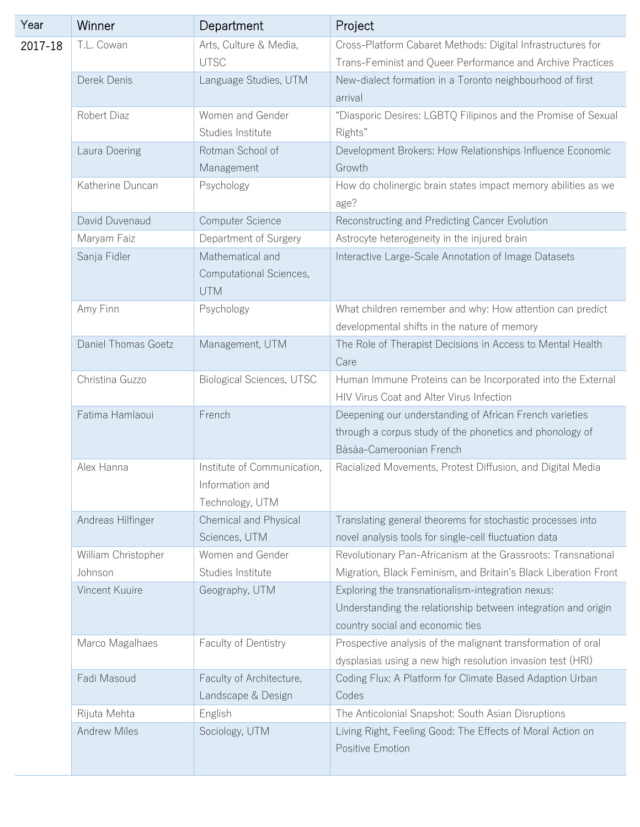| Year    | Winner                         | Department                                                        | Project                                                                                                                                                |
|---------|--------------------------------|-------------------------------------------------------------------|--------------------------------------------------------------------------------------------------------------------------------------------------------|
| 2017-18 | T.L. Cowan                     | Arts, Culture & Media,<br><b>UTSC</b>                             | Cross-Platform Cabaret Methods: Digital Infrastructures for<br>Trans-Feminist and Queer Performance and Archive Practices                              |
|         | Derek Denis                    | Language Studies, UTM                                             | New-dialect formation in a Toronto neighbourhood of first<br>arrival                                                                                   |
|         | Robert Diaz                    | Women and Gender<br>Studies Institute                             | "Diasporic Desires: LGBTQ Filipinos and the Promise of Sexual<br>Rights"                                                                               |
|         | Laura Doering                  | Rotman School of<br>Management                                    | Development Brokers: How Relationships Influence Economic<br>Growth                                                                                    |
|         | Katherine Duncan               | Psychology                                                        | How do cholinergic brain states impact memory abilities as we<br>age?                                                                                  |
|         | David Duvenaud                 | Computer Science                                                  | Reconstructing and Predicting Cancer Evolution                                                                                                         |
|         | Maryam Faiz                    | Department of Surgery                                             | Astrocyte heterogeneity in the injured brain                                                                                                           |
|         | Sanja Fidler                   | Mathematical and<br>Computational Sciences,<br><b>UTM</b>         | Interactive Large-Scale Annotation of Image Datasets                                                                                                   |
|         | Amy Finn                       | Psychology                                                        | What children remember and why: How attention can predict<br>developmental shifts in the nature of memory                                              |
|         | Daniel Thomas Goetz            | Management, UTM                                                   | The Role of Therapist Decisions in Access to Mental Health<br>Care                                                                                     |
|         | Christina Guzzo                | Biological Sciences, UTSC                                         | Human Immune Proteins can be Incorporated into the External<br>HIV Virus Coat and Alter Virus Infection                                                |
|         | Fatima Hamlaoui                | French                                                            | Deepening our understanding of African French varieties<br>through a corpus study of the phonetics and phonology of<br>Bàsàa-Cameroonian French        |
|         | Alex Hanna                     | Institute of Communication,<br>Information and<br>Technology, UTM | Racialized Movements, Protest Diffusion, and Digital Media                                                                                             |
|         | Andreas Hilfinger              | Chemical and Physical<br>Sciences, UTM                            | Translating general theorems for stochastic processes into<br>novel analysis tools for single-cell fluctuation data                                    |
|         | William Christopher<br>Johnson | Women and Gender<br>Studies Institute                             | Revolutionary Pan-Africanism at the Grassroots: Transnational<br>Migration, Black Feminism, and Britain's Black Liberation Front                       |
|         | Vincent Kuuire                 | Geography, UTM                                                    | Exploring the transnationalism-integration nexus:<br>Understanding the relationship between integration and origin<br>country social and economic ties |
|         | Marco Magalhaes                | Faculty of Dentistry                                              | Prospective analysis of the malignant transformation of oral<br>dysplasias using a new high resolution invasion test (HRI)                             |
|         | Fadi Masoud                    | Faculty of Architecture,<br>Landscape & Design                    | Coding Flux: A Platform for Climate Based Adaption Urban<br>Codes                                                                                      |
|         | Rijuta Mehta                   | English                                                           | The Anticolonial Snapshot: South Asian Disruptions                                                                                                     |
|         | <b>Andrew Miles</b>            | Sociology, UTM                                                    | Living Right, Feeling Good: The Effects of Moral Action on<br>Positive Emotion                                                                         |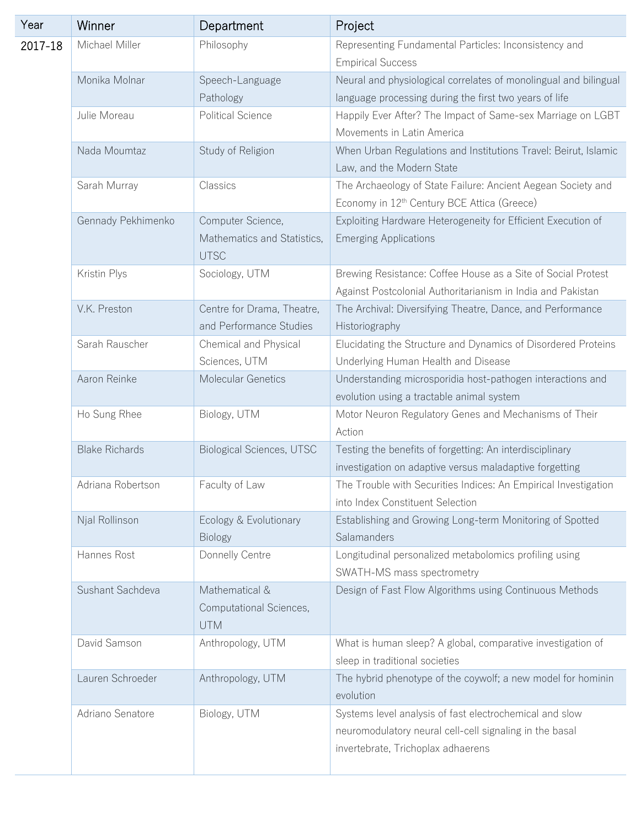| Year    | Winner                | Department                                                      | Project                                                                                                                                                  |
|---------|-----------------------|-----------------------------------------------------------------|----------------------------------------------------------------------------------------------------------------------------------------------------------|
| 2017-18 | Michael Miller        | Philosophy                                                      | Representing Fundamental Particles: Inconsistency and<br><b>Empirical Success</b>                                                                        |
|         | Monika Molnar         | Speech-Language<br>Pathology                                    | Neural and physiological correlates of monolingual and bilingual<br>language processing during the first two years of life                               |
|         | Julie Moreau          | <b>Political Science</b>                                        | Happily Ever After? The Impact of Same-sex Marriage on LGBT<br>Movements in Latin America                                                                |
|         | Nada Moumtaz          | Study of Religion                                               | When Urban Regulations and Institutions Travel: Beirut, Islamic<br>Law, and the Modern State                                                             |
|         | Sarah Murray          | Classics                                                        | The Archaeology of State Failure: Ancient Aegean Society and<br>Economy in 12 <sup>th</sup> Century BCE Attica (Greece)                                  |
|         | Gennady Pekhimenko    | Computer Science,<br>Mathematics and Statistics,<br><b>UTSC</b> | Exploiting Hardware Heterogeneity for Efficient Execution of<br><b>Emerging Applications</b>                                                             |
|         | Kristin Plys          | Sociology, UTM                                                  | Brewing Resistance: Coffee House as a Site of Social Protest<br>Against Postcolonial Authoritarianism in India and Pakistan                              |
|         | V.K. Preston          | Centre for Drama, Theatre,<br>and Performance Studies           | The Archival: Diversifying Theatre, Dance, and Performance<br>Historiography                                                                             |
|         | Sarah Rauscher        | Chemical and Physical<br>Sciences, UTM                          | Elucidating the Structure and Dynamics of Disordered Proteins<br>Underlying Human Health and Disease                                                     |
|         | Aaron Reinke          | Molecular Genetics                                              | Understanding microsporidia host-pathogen interactions and<br>evolution using a tractable animal system                                                  |
|         | Ho Sung Rhee          | Biology, UTM                                                    | Motor Neuron Regulatory Genes and Mechanisms of Their<br>Action                                                                                          |
|         | <b>Blake Richards</b> | <b>Biological Sciences, UTSC</b>                                | Testing the benefits of forgetting: An interdisciplinary<br>investigation on adaptive versus maladaptive forgetting                                      |
|         | Adriana Robertson     | Faculty of Law                                                  | The Trouble with Securities Indices: An Empirical Investigation<br>into Index Constituent Selection                                                      |
|         | Njal Rollinson        | Ecology & Evolutionary<br><b>Biology</b>                        | Establishing and Growing Long-term Monitoring of Spotted<br>Salamanders                                                                                  |
|         | Hannes Rost           | Donnelly Centre                                                 | Longitudinal personalized metabolomics profiling using<br>SWATH-MS mass spectrometry                                                                     |
|         | Sushant Sachdeva      | Mathematical &<br>Computational Sciences,<br>UTM                | Design of Fast Flow Algorithms using Continuous Methods                                                                                                  |
|         | David Samson          | Anthropology, UTM                                               | What is human sleep? A global, comparative investigation of<br>sleep in traditional societies                                                            |
|         | Lauren Schroeder      | Anthropology, UTM                                               | The hybrid phenotype of the coywolf; a new model for hominin<br>evolution                                                                                |
|         | Adriano Senatore      | Biology, UTM                                                    | Systems level analysis of fast electrochemical and slow<br>neuromodulatory neural cell-cell signaling in the basal<br>invertebrate, Trichoplax adhaerens |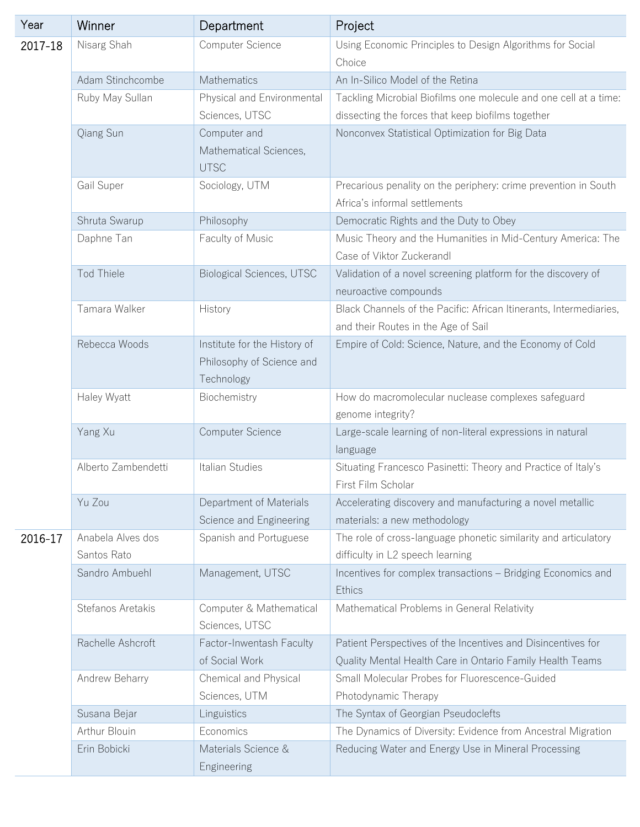| Year    | Winner                           | Department                                                              | Project                                                                                                                   |
|---------|----------------------------------|-------------------------------------------------------------------------|---------------------------------------------------------------------------------------------------------------------------|
| 2017-18 | Nisarg Shah                      | Computer Science                                                        | Using Economic Principles to Design Algorithms for Social<br>Choice                                                       |
|         | Adam Stinchcombe                 | Mathematics                                                             | An In-Silico Model of the Retina                                                                                          |
|         | Ruby May Sullan                  | Physical and Environmental                                              | Tackling Microbial Biofilms one molecule and one cell at a time:                                                          |
|         |                                  | Sciences, UTSC                                                          | dissecting the forces that keep biofilms together                                                                         |
|         | Qiang Sun                        | Computer and<br>Mathematical Sciences,<br><b>UTSC</b>                   | Nonconvex Statistical Optimization for Big Data                                                                           |
|         | Gail Super                       | Sociology, UTM                                                          | Precarious penality on the periphery: crime prevention in South<br>Africa's informal settlements                          |
|         | Shruta Swarup                    | Philosophy                                                              | Democratic Rights and the Duty to Obey                                                                                    |
|         | Daphne Tan                       | Faculty of Music                                                        | Music Theory and the Humanities in Mid-Century America: The<br>Case of Viktor Zuckerandl                                  |
|         | <b>Tod Thiele</b>                | <b>Biological Sciences, UTSC</b>                                        | Validation of a novel screening platform for the discovery of<br>neuroactive compounds                                    |
|         | Tamara Walker                    | History                                                                 | Black Channels of the Pacific: African Itinerants, Intermediaries,<br>and their Routes in the Age of Sail                 |
|         | Rebecca Woods                    | Institute for the History of<br>Philosophy of Science and<br>Technology | Empire of Cold: Science, Nature, and the Economy of Cold                                                                  |
|         | Haley Wyatt                      | Biochemistry                                                            | How do macromolecular nuclease complexes safeguard<br>genome integrity?                                                   |
|         | Yang Xu                          | Computer Science                                                        | Large-scale learning of non-literal expressions in natural<br>language                                                    |
|         | Alberto Zambendetti              | Italian Studies                                                         | Situating Francesco Pasinetti: Theory and Practice of Italy's<br>First Film Scholar                                       |
|         | Yu Zou                           | Department of Materials<br>Science and Engineering                      | Accelerating discovery and manufacturing a novel metallic<br>materials: a new methodology                                 |
| 2016-17 | Anabela Alves dos<br>Santos Rato | Spanish and Portuguese                                                  | The role of cross-language phonetic similarity and articulatory<br>difficulty in L2 speech learning                       |
|         | Sandro Ambuehl                   | Management, UTSC                                                        | Incentives for complex transactions - Bridging Economics and<br>Ethics                                                    |
|         | Stefanos Aretakis                | Computer & Mathematical<br>Sciences, UTSC                               | Mathematical Problems in General Relativity                                                                               |
|         | Rachelle Ashcroft                | Factor-Inwentash Faculty<br>of Social Work                              | Patient Perspectives of the Incentives and Disincentives for<br>Quality Mental Health Care in Ontario Family Health Teams |
|         | Andrew Beharry                   | Chemical and Physical<br>Sciences, UTM                                  | Small Molecular Probes for Fluorescence-Guided<br>Photodynamic Therapy                                                    |
|         | Susana Bejar                     | Linguistics                                                             | The Syntax of Georgian Pseudoclefts                                                                                       |
|         | Arthur Blouin                    | Economics                                                               | The Dynamics of Diversity: Evidence from Ancestral Migration                                                              |
|         | Erin Bobicki                     | Materials Science &<br>Engineering                                      | Reducing Water and Energy Use in Mineral Processing                                                                       |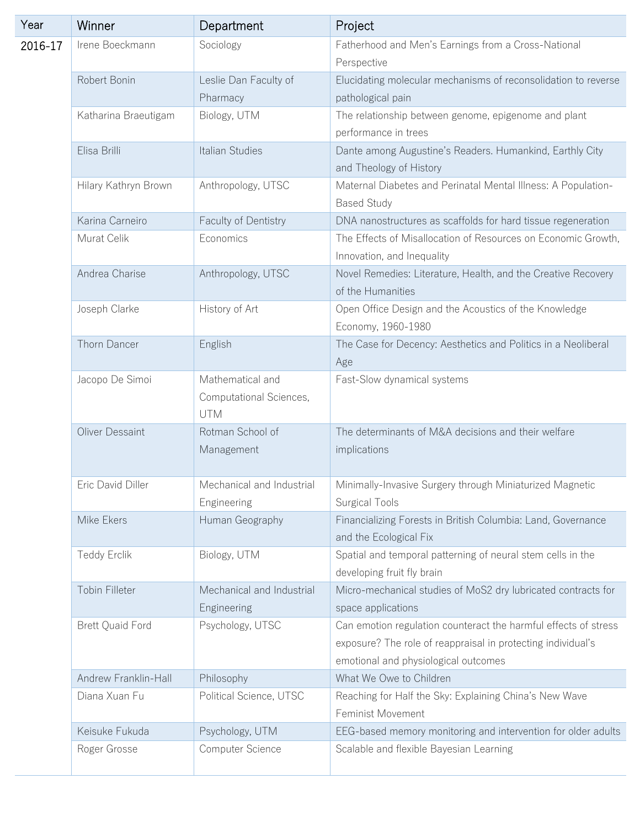| Year    | Winner                  | Department                | Project                                                                                   |
|---------|-------------------------|---------------------------|-------------------------------------------------------------------------------------------|
| 2016-17 | Irene Boeckmann         | Sociology                 | Fatherhood and Men's Earnings from a Cross-National                                       |
|         |                         |                           | Perspective                                                                               |
|         | Robert Bonin            | Leslie Dan Faculty of     | Elucidating molecular mechanisms of reconsolidation to reverse                            |
|         |                         | Pharmacy                  | pathological pain                                                                         |
|         | Katharina Braeutigam    | Biology, UTM              | The relationship between genome, epigenome and plant                                      |
|         |                         |                           | performance in trees                                                                      |
|         | Elisa Brilli            | Italian Studies           | Dante among Augustine's Readers. Humankind, Earthly City<br>and Theology of History       |
|         | Hilary Kathryn Brown    | Anthropology, UTSC        | Maternal Diabetes and Perinatal Mental Illness: A Population-<br><b>Based Study</b>       |
|         | Karina Carneiro         | Faculty of Dentistry      | DNA nanostructures as scaffolds for hard tissue regeneration                              |
|         | Murat Celik             | Economics                 | The Effects of Misallocation of Resources on Economic Growth,                             |
|         |                         |                           | Innovation, and Inequality                                                                |
|         | Andrea Charise          | Anthropology, UTSC        | Novel Remedies: Literature, Health, and the Creative Recovery                             |
|         |                         |                           | of the Humanities                                                                         |
|         | Joseph Clarke           | History of Art            | Open Office Design and the Acoustics of the Knowledge<br>Economy, 1960-1980               |
|         | Thorn Dancer            | English                   | The Case for Decency: Aesthetics and Politics in a Neoliberal                             |
|         |                         |                           | Age                                                                                       |
|         | Jacopo De Simoi         | Mathematical and          | Fast-Slow dynamical systems                                                               |
|         |                         | Computational Sciences,   |                                                                                           |
|         |                         | <b>UTM</b>                |                                                                                           |
|         | Oliver Dessaint         | Rotman School of          | The determinants of M&A decisions and their welfare                                       |
|         |                         | Management                | implications                                                                              |
|         | Eric David Diller       | Mechanical and Industrial | Minimally-Invasive Surgery through Miniaturized Magnetic                                  |
|         |                         | Engineering               | <b>Surgical Tools</b>                                                                     |
|         | Mike Ekers              | Human Geography           | Financializing Forests in British Columbia: Land, Governance                              |
|         |                         |                           | and the Ecological Fix                                                                    |
|         | Teddy Erclik            | Biology, UTM              | Spatial and temporal patterning of neural stem cells in the<br>developing fruit fly brain |
|         | Tobin Filleter          | Mechanical and Industrial | Micro-mechanical studies of MoS2 dry lubricated contracts for                             |
|         |                         | Engineering               | space applications                                                                        |
|         | <b>Brett Quaid Ford</b> | Psychology, UTSC          | Can emotion regulation counteract the harmful effects of stress                           |
|         |                         |                           | exposure? The role of reappraisal in protecting individual's                              |
|         |                         |                           | emotional and physiological outcomes                                                      |
|         | Andrew Franklin-Hall    | Philosophy                | What We Owe to Children                                                                   |
|         | Diana Xuan Fu           | Political Science, UTSC   | Reaching for Half the Sky: Explaining China's New Wave                                    |
|         |                         |                           | Feminist Movement                                                                         |
|         | Keisuke Fukuda          | Psychology, UTM           | EEG-based memory monitoring and intervention for older adults                             |
|         | Roger Grosse            | Computer Science          | Scalable and flexible Bayesian Learning                                                   |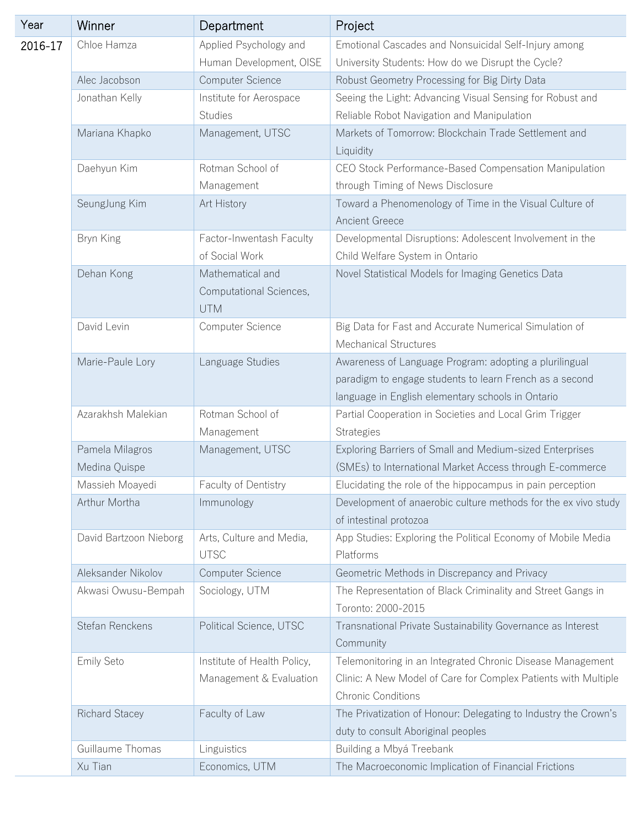| Year    | Winner                 | Department                  | Project                                                                                  |
|---------|------------------------|-----------------------------|------------------------------------------------------------------------------------------|
| 2016-17 | Chloe Hamza            | Applied Psychology and      | Emotional Cascades and Nonsuicidal Self-Injury among                                     |
|         |                        | Human Development, OISE     | University Students: How do we Disrupt the Cycle?                                        |
|         | Alec Jacobson          | Computer Science            | Robust Geometry Processing for Big Dirty Data                                            |
|         | Jonathan Kelly         | Institute for Aerospace     | Seeing the Light: Advancing Visual Sensing for Robust and                                |
|         |                        | <b>Studies</b>              | Reliable Robot Navigation and Manipulation                                               |
|         | Mariana Khapko         | Management, UTSC            | Markets of Tomorrow: Blockchain Trade Settlement and                                     |
|         |                        |                             | Liquidity                                                                                |
|         | Daehyun Kim            | Rotman School of            | CEO Stock Performance-Based Compensation Manipulation                                    |
|         |                        | Management                  | through Timing of News Disclosure                                                        |
|         | SeungJung Kim          | Art History                 | Toward a Phenomenology of Time in the Visual Culture of<br>Ancient Greece                |
|         | Bryn King              | Factor-Inwentash Faculty    | Developmental Disruptions: Adolescent Involvement in the                                 |
|         |                        | of Social Work              | Child Welfare System in Ontario                                                          |
|         | Dehan Kong             | Mathematical and            | Novel Statistical Models for Imaging Genetics Data                                       |
|         |                        | Computational Sciences,     |                                                                                          |
|         |                        | <b>UTM</b>                  |                                                                                          |
|         | David Levin            | Computer Science            | Big Data for Fast and Accurate Numerical Simulation of<br><b>Mechanical Structures</b>   |
|         | Marie-Paule Lory       | Language Studies            | Awareness of Language Program: adopting a plurilingual                                   |
|         |                        |                             | paradigm to engage students to learn French as a second                                  |
|         |                        |                             | language in English elementary schools in Ontario                                        |
|         | Azarakhsh Malekian     | Rotman School of            | Partial Cooperation in Societies and Local Grim Trigger                                  |
|         |                        | Management                  | <b>Strategies</b>                                                                        |
|         | Pamela Milagros        | Management, UTSC            | Exploring Barriers of Small and Medium-sized Enterprises                                 |
|         | Medina Quispe          |                             | (SMEs) to International Market Access through E-commerce                                 |
|         | Massieh Moayedi        | Faculty of Dentistry        | Elucidating the role of the hippocampus in pain perception                               |
|         | Arthur Mortha          | Immunology                  | Development of anaerobic culture methods for the ex vivo study<br>of intestinal protozoa |
|         | David Bartzoon Nieborg | Arts, Culture and Media,    | App Studies: Exploring the Political Economy of Mobile Media                             |
|         |                        | <b>UTSC</b>                 | Platforms                                                                                |
|         | Aleksander Nikolov     | Computer Science            | Geometric Methods in Discrepancy and Privacy                                             |
|         | Akwasi Owusu-Bempah    | Sociology, UTM              | The Representation of Black Criminality and Street Gangs in<br>Toronto: 2000-2015        |
|         | Stefan Renckens        | Political Science, UTSC     | Transnational Private Sustainability Governance as Interest                              |
|         |                        |                             | Community                                                                                |
|         | Emily Seto             | Institute of Health Policy, | Telemonitoring in an Integrated Chronic Disease Management                               |
|         |                        | Management & Evaluation     | Clinic: A New Model of Care for Complex Patients with Multiple                           |
|         |                        |                             | <b>Chronic Conditions</b>                                                                |
|         | Richard Stacey         | Faculty of Law              | The Privatization of Honour: Delegating to Industry the Crown's                          |
|         |                        |                             | duty to consult Aboriginal peoples                                                       |
|         | Guillaume Thomas       | Linguistics                 | Building a Mbyá Treebank                                                                 |
|         | Xu Tian                | Economics, UTM              | The Macroeconomic Implication of Financial Frictions                                     |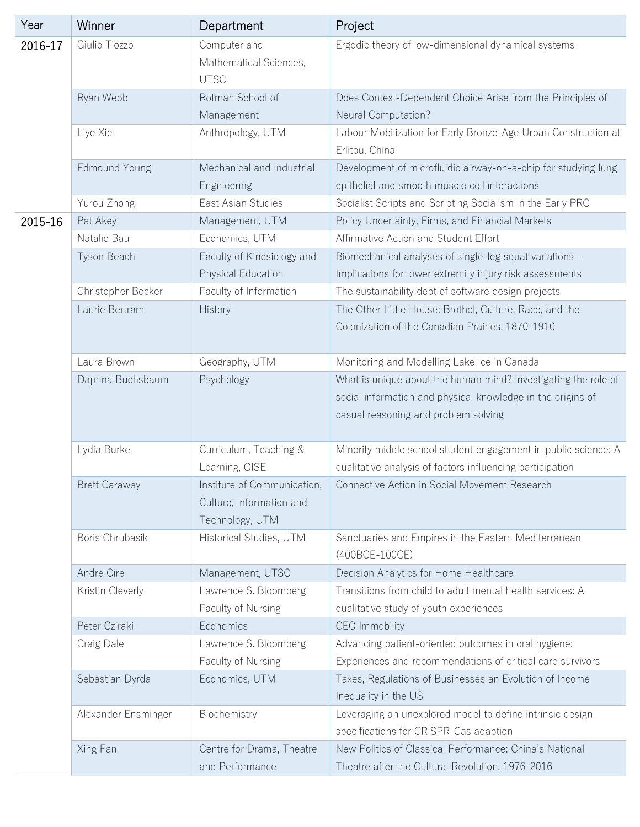| Year    | Winner               | Department                                                                 | Project                                                                                                                                                               |
|---------|----------------------|----------------------------------------------------------------------------|-----------------------------------------------------------------------------------------------------------------------------------------------------------------------|
| 2016-17 | Giulio Tiozzo        | Computer and<br>Mathematical Sciences,<br><b>UTSC</b>                      | Ergodic theory of low-dimensional dynamical systems                                                                                                                   |
|         | Ryan Webb            | Rotman School of                                                           | Does Context-Dependent Choice Arise from the Principles of                                                                                                            |
|         |                      | Management                                                                 | Neural Computation?                                                                                                                                                   |
|         | Liye Xie             | Anthropology, UTM                                                          | Labour Mobilization for Early Bronze-Age Urban Construction at<br>Erlitou, China                                                                                      |
|         | <b>Edmound Young</b> | Mechanical and Industrial<br>Engineering                                   | Development of microfluidic airway-on-a-chip for studying lung<br>epithelial and smooth muscle cell interactions                                                      |
|         | Yurou Zhong          | East Asian Studies                                                         | Socialist Scripts and Scripting Socialism in the Early PRC                                                                                                            |
| 2015-16 | Pat Akey             | Management, UTM                                                            | Policy Uncertainty, Firms, and Financial Markets                                                                                                                      |
|         | Natalie Bau          | Economics, UTM                                                             | Affirmative Action and Student Effort                                                                                                                                 |
|         | Tyson Beach          | Faculty of Kinesiology and                                                 | Biomechanical analyses of single-leg squat variations -                                                                                                               |
|         |                      | Physical Education                                                         | Implications for lower extremity injury risk assessments                                                                                                              |
|         | Christopher Becker   | Faculty of Information                                                     | The sustainability debt of software design projects                                                                                                                   |
|         | Laurie Bertram       | History                                                                    | The Other Little House: Brothel, Culture, Race, and the<br>Colonization of the Canadian Prairies. 1870-1910                                                           |
|         | Laura Brown          | Geography, UTM                                                             | Monitoring and Modelling Lake Ice in Canada                                                                                                                           |
|         | Daphna Buchsbaum     | Psychology                                                                 | What is unique about the human mind? Investigating the role of<br>social information and physical knowledge in the origins of<br>casual reasoning and problem solving |
|         | Lydia Burke          | Curriculum, Teaching &                                                     | Minority middle school student engagement in public science: A                                                                                                        |
|         |                      | Learning, OISE                                                             | qualitative analysis of factors influencing participation                                                                                                             |
|         | <b>Brett Caraway</b> | Institute of Communication.<br>Culture, Information and<br>Technology, UTM | Connective Action in Social Movement Research                                                                                                                         |
|         | Boris Chrubasik      | Historical Studies, UTM                                                    | Sanctuaries and Empires in the Eastern Mediterranean<br>(400BCE-100CE)                                                                                                |
|         | Andre Cire           | Management, UTSC                                                           | Decision Analytics for Home Healthcare                                                                                                                                |
|         | Kristin Cleverly     | Lawrence S. Bloomberg<br>Faculty of Nursing                                | Transitions from child to adult mental health services: A<br>qualitative study of youth experiences                                                                   |
|         | Peter Cziraki        | Economics                                                                  | CEO Immobility                                                                                                                                                        |
|         | Craig Dale           | Lawrence S. Bloomberg                                                      | Advancing patient-oriented outcomes in oral hygiene:                                                                                                                  |
|         |                      | Faculty of Nursing                                                         | Experiences and recommendations of critical care survivors                                                                                                            |
|         | Sebastian Dyrda      | Economics, UTM                                                             | Taxes, Regulations of Businesses an Evolution of Income<br>Inequality in the US                                                                                       |
|         | Alexander Ensminger  | Biochemistry                                                               | Leveraging an unexplored model to define intrinsic design<br>specifications for CRISPR-Cas adaption                                                                   |
|         | Xing Fan             | Centre for Drama, Theatre<br>and Performance                               | New Politics of Classical Performance: China's National<br>Theatre after the Cultural Revolution, 1976-2016                                                           |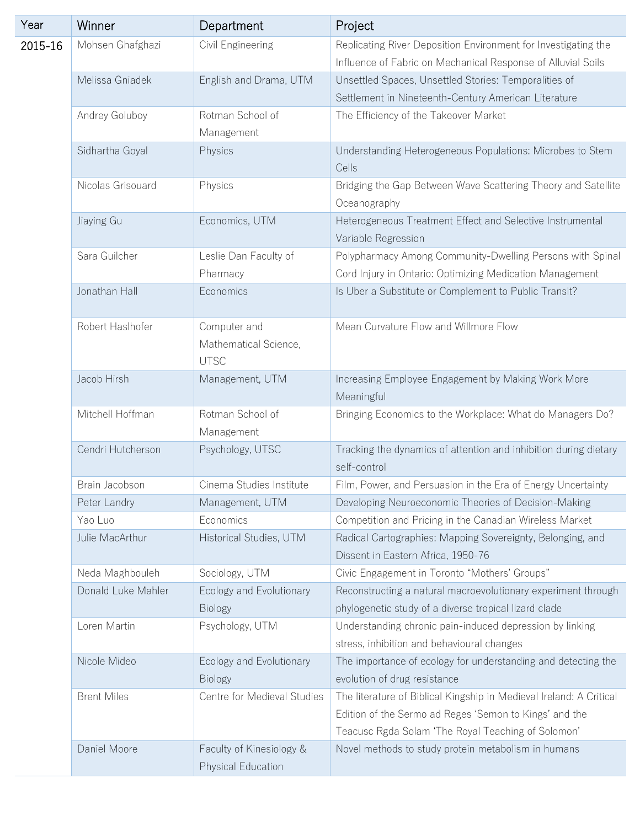| Year    | Winner             | Department                                           | Project                                                                                                                                                                             |
|---------|--------------------|------------------------------------------------------|-------------------------------------------------------------------------------------------------------------------------------------------------------------------------------------|
| 2015-16 | Mohsen Ghafghazi   | Civil Engineering                                    | Replicating River Deposition Environment for Investigating the<br>Influence of Fabric on Mechanical Response of Alluvial Soils                                                      |
|         | Melissa Gniadek    | English and Drama, UTM                               | Unsettled Spaces, Unsettled Stories: Temporalities of<br>Settlement in Nineteenth-Century American Literature                                                                       |
|         | Andrey Goluboy     | Rotman School of<br>Management                       | The Efficiency of the Takeover Market                                                                                                                                               |
|         | Sidhartha Goyal    | Physics                                              | Understanding Heterogeneous Populations: Microbes to Stem<br>Cells                                                                                                                  |
|         | Nicolas Grisouard  | Physics                                              | Bridging the Gap Between Wave Scattering Theory and Satellite<br>Oceanography                                                                                                       |
|         | Jiaying Gu         | Economics, UTM                                       | Heterogeneous Treatment Effect and Selective Instrumental<br>Variable Regression                                                                                                    |
|         | Sara Guilcher      | Leslie Dan Faculty of<br>Pharmacy                    | Polypharmacy Among Community-Dwelling Persons with Spinal<br>Cord Injury in Ontario: Optimizing Medication Management                                                               |
|         | Jonathan Hall      | Economics                                            | Is Uber a Substitute or Complement to Public Transit?                                                                                                                               |
|         | Robert Haslhofer   | Computer and<br>Mathematical Science,<br><b>UTSC</b> | Mean Curvature Flow and Willmore Flow                                                                                                                                               |
|         | Jacob Hirsh        | Management, UTM                                      | Increasing Employee Engagement by Making Work More<br>Meaningful                                                                                                                    |
|         | Mitchell Hoffman   | Rotman School of<br>Management                       | Bringing Economics to the Workplace: What do Managers Do?                                                                                                                           |
|         | Cendri Hutcherson  | Psychology, UTSC                                     | Tracking the dynamics of attention and inhibition during dietary<br>self-control                                                                                                    |
|         | Brain Jacobson     | Cinema Studies Institute                             | Film, Power, and Persuasion in the Era of Energy Uncertainty                                                                                                                        |
|         | Peter Landry       | Management, UTM                                      | Developing Neuroeconomic Theories of Decision-Making                                                                                                                                |
|         | Yao Luo            | Economics                                            | Competition and Pricing in the Canadian Wireless Market                                                                                                                             |
|         | Julie MacArthur    | Historical Studies, UTM                              | Radical Cartographies: Mapping Sovereignty, Belonging, and<br>Dissent in Eastern Africa, 1950-76                                                                                    |
|         | Neda Maghbouleh    | Sociology, UTM                                       | Civic Engagement in Toronto "Mothers' Groups"                                                                                                                                       |
|         | Donald Luke Mahler | Ecology and Evolutionary<br><b>Biology</b>           | Reconstructing a natural macroevolutionary experiment through<br>phylogenetic study of a diverse tropical lizard clade                                                              |
|         | Loren Martin       | Psychology, UTM                                      | Understanding chronic pain-induced depression by linking<br>stress, inhibition and behavioural changes                                                                              |
|         | Nicole Mideo       | Ecology and Evolutionary<br><b>Biology</b>           | The importance of ecology for understanding and detecting the<br>evolution of drug resistance                                                                                       |
|         | <b>Brent Miles</b> | Centre for Medieval Studies                          | The literature of Biblical Kingship in Medieval Ireland: A Critical<br>Edition of the Sermo ad Reges 'Semon to Kings' and the<br>Teacusc Rgda Solam 'The Royal Teaching of Solomon' |
|         | Daniel Moore       | Faculty of Kinesiology &<br>Physical Education       | Novel methods to study protein metabolism in humans                                                                                                                                 |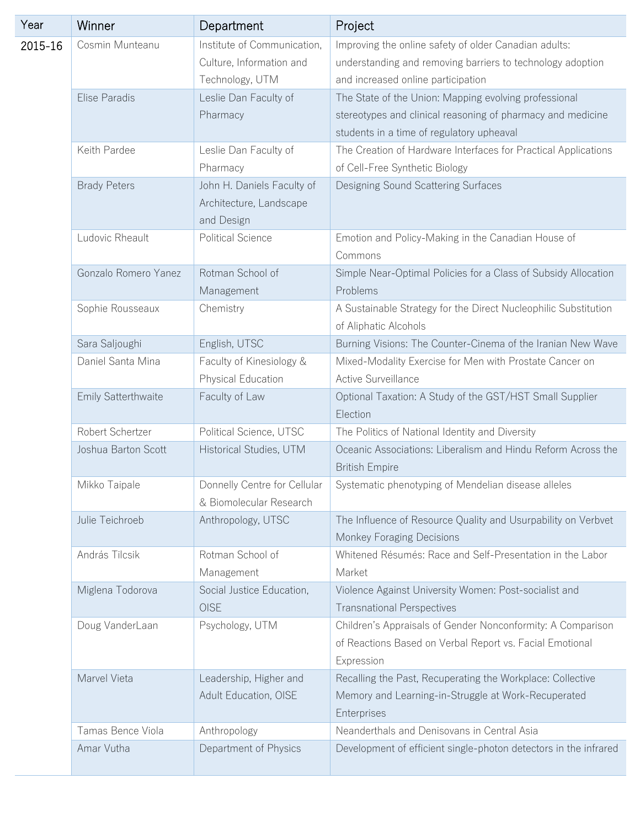| Year    | Winner               | Department                                              | Project                                                                                                             |
|---------|----------------------|---------------------------------------------------------|---------------------------------------------------------------------------------------------------------------------|
| 2015-16 | Cosmin Munteanu      | Institute of Communication,<br>Culture, Information and | Improving the online safety of older Canadian adults:<br>understanding and removing barriers to technology adoption |
|         |                      | Technology, UTM                                         | and increased online participation                                                                                  |
|         | Elise Paradis        | Leslie Dan Faculty of                                   | The State of the Union: Mapping evolving professional                                                               |
|         |                      | Pharmacy                                                | stereotypes and clinical reasoning of pharmacy and medicine                                                         |
|         |                      |                                                         | students in a time of regulatory upheaval                                                                           |
|         | Keith Pardee         | Leslie Dan Faculty of                                   | The Creation of Hardware Interfaces for Practical Applications                                                      |
|         |                      | Pharmacy                                                | of Cell-Free Synthetic Biology                                                                                      |
|         | <b>Brady Peters</b>  | John H. Daniels Faculty of                              | Designing Sound Scattering Surfaces                                                                                 |
|         |                      | Architecture, Landscape                                 |                                                                                                                     |
|         |                      | and Design                                              |                                                                                                                     |
|         | Ludovic Rheault      | <b>Political Science</b>                                | Emotion and Policy-Making in the Canadian House of                                                                  |
|         |                      |                                                         | Commons                                                                                                             |
|         | Gonzalo Romero Yanez | Rotman School of                                        | Simple Near-Optimal Policies for a Class of Subsidy Allocation                                                      |
|         |                      | Management                                              | Problems                                                                                                            |
|         | Sophie Rousseaux     | Chemistry                                               | A Sustainable Strategy for the Direct Nucleophilic Substitution                                                     |
|         |                      |                                                         | of Aliphatic Alcohols                                                                                               |
|         | Sara Saljoughi       | English, UTSC                                           | Burning Visions: The Counter-Cinema of the Iranian New Wave                                                         |
|         | Daniel Santa Mina    | Faculty of Kinesiology &<br>Physical Education          | Mixed-Modality Exercise for Men with Prostate Cancer on<br>Active Surveillance                                      |
|         | Emily Satterthwaite  | Faculty of Law                                          | Optional Taxation: A Study of the GST/HST Small Supplier                                                            |
|         |                      |                                                         | Election                                                                                                            |
|         | Robert Schertzer     | Political Science, UTSC                                 | The Politics of National Identity and Diversity                                                                     |
|         | Joshua Barton Scott  | Historical Studies, UTM                                 | Oceanic Associations: Liberalism and Hindu Reform Across the<br><b>British Empire</b>                               |
|         | Mikko Taipale        | Donnelly Centre for Cellular                            | Systematic phenotyping of Mendelian disease alleles                                                                 |
|         |                      | & Biomolecular Research                                 |                                                                                                                     |
|         | Julie Teichroeb      | Anthropology, UTSC                                      | The Influence of Resource Quality and Usurpability on Verbvet                                                       |
|         |                      |                                                         | Monkey Foraging Decisions                                                                                           |
|         | András Tilcsik       | Rotman School of                                        | Whitened Résumés: Race and Self-Presentation in the Labor                                                           |
|         |                      | Management                                              | Market                                                                                                              |
|         | Miglena Todorova     | Social Justice Education,                               | Violence Against University Women: Post-socialist and                                                               |
|         |                      | OISE                                                    | <b>Transnational Perspectives</b>                                                                                   |
|         | Doug VanderLaan      | Psychology, UTM                                         | Children's Appraisals of Gender Nonconformity: A Comparison                                                         |
|         |                      |                                                         | of Reactions Based on Verbal Report vs. Facial Emotional                                                            |
|         |                      |                                                         | Expression                                                                                                          |
|         | Marvel Vieta         | Leadership, Higher and                                  | Recalling the Past, Recuperating the Workplace: Collective                                                          |
|         |                      | Adult Education, OISE                                   | Memory and Learning-in-Struggle at Work-Recuperated<br>Enterprises                                                  |
|         | Tamas Bence Viola    | Anthropology                                            | Neanderthals and Denisovans in Central Asia                                                                         |
|         | Amar Vutha           | Department of Physics                                   | Development of efficient single-photon detectors in the infrared                                                    |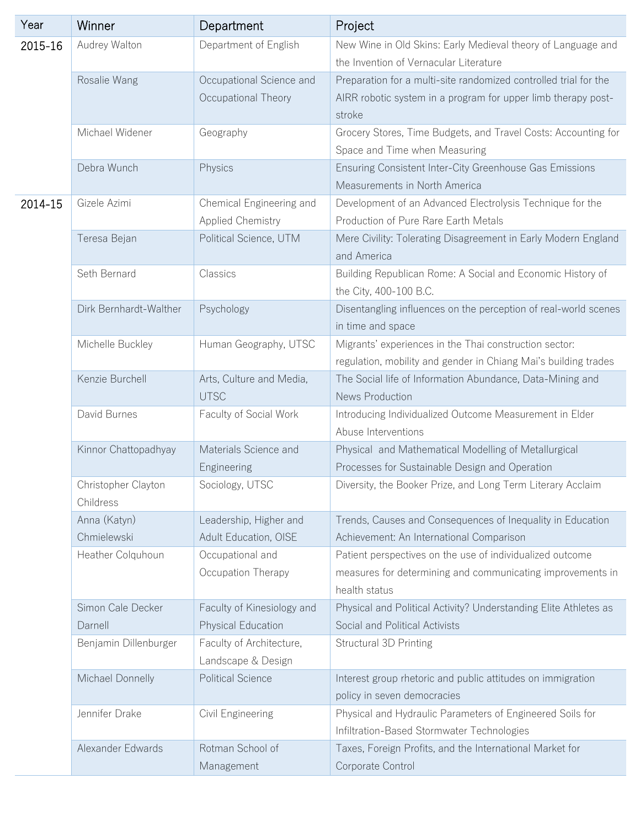| Year    | Winner                           | Department                                       | Project                                                                                                                                     |
|---------|----------------------------------|--------------------------------------------------|---------------------------------------------------------------------------------------------------------------------------------------------|
| 2015-16 | Audrey Walton                    | Department of English                            | New Wine in Old Skins: Early Medieval theory of Language and<br>the Invention of Vernacular Literature                                      |
|         | Rosalie Wang                     | Occupational Science and<br>Occupational Theory  | Preparation for a multi-site randomized controlled trial for the<br>AIRR robotic system in a program for upper limb therapy post-<br>stroke |
|         | Michael Widener                  | Geography                                        | Grocery Stores, Time Budgets, and Travel Costs: Accounting for<br>Space and Time when Measuring                                             |
|         | Debra Wunch                      | Physics                                          | Ensuring Consistent Inter-City Greenhouse Gas Emissions<br>Measurements in North America                                                    |
| 2014-15 | Gizele Azimi                     | Chemical Engineering and<br>Applied Chemistry    | Development of an Advanced Electrolysis Technique for the<br>Production of Pure Rare Earth Metals                                           |
|         | Teresa Bejan                     | Political Science, UTM                           | Mere Civility: Tolerating Disagreement in Early Modern England<br>and America                                                               |
|         | Seth Bernard                     | Classics                                         | Building Republican Rome: A Social and Economic History of<br>the City, 400-100 B.C.                                                        |
|         | Dirk Bernhardt-Walther           | Psychology                                       | Disentangling influences on the perception of real-world scenes<br>in time and space                                                        |
|         | Michelle Buckley                 | Human Geography, UTSC                            | Migrants' experiences in the Thai construction sector:<br>regulation, mobility and gender in Chiang Mai's building trades                   |
|         | Kenzie Burchell                  | Arts, Culture and Media,<br><b>UTSC</b>          | The Social life of Information Abundance, Data-Mining and<br>News Production                                                                |
|         | David Burnes                     | Faculty of Social Work                           | Introducing Individualized Outcome Measurement in Elder<br>Abuse Interventions                                                              |
|         | Kinnor Chattopadhyay             | Materials Science and<br>Engineering             | Physical and Mathematical Modelling of Metallurgical<br>Processes for Sustainable Design and Operation                                      |
|         | Christopher Clayton<br>Childress | Sociology, UTSC                                  | Diversity, the Booker Prize, and Long Term Literary Acclaim                                                                                 |
|         | Anna (Katyn)<br>Chmielewski      | Leadership, Higher and<br>Adult Education, OISE  | Trends, Causes and Consequences of Inequality in Education<br>Achievement: An International Comparison                                      |
|         | Heather Colquhoun                | Occupational and<br>Occupation Therapy           | Patient perspectives on the use of individualized outcome<br>measures for determining and communicating improvements in<br>health status    |
|         | Simon Cale Decker<br>Darnell     | Faculty of Kinesiology and<br>Physical Education | Physical and Political Activity? Understanding Elite Athletes as<br>Social and Political Activists                                          |
|         | Benjamin Dillenburger            | Faculty of Architecture,<br>Landscape & Design   | Structural 3D Printing                                                                                                                      |
|         | Michael Donnelly                 | <b>Political Science</b>                         | Interest group rhetoric and public attitudes on immigration<br>policy in seven democracies                                                  |
|         | Jennifer Drake                   | Civil Engineering                                | Physical and Hydraulic Parameters of Engineered Soils for<br>Infiltration-Based Stormwater Technologies                                     |
|         | Alexander Edwards                | Rotman School of<br>Management                   | Taxes, Foreign Profits, and the International Market for<br>Corporate Control                                                               |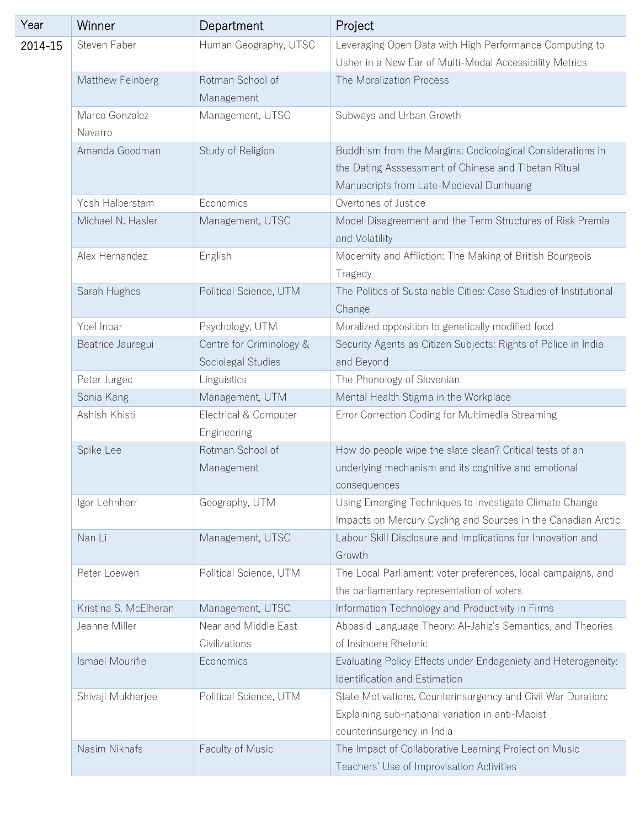| Year    | Winner                | Department                                     | Project                                                                                                                                                       |
|---------|-----------------------|------------------------------------------------|---------------------------------------------------------------------------------------------------------------------------------------------------------------|
| 2014-15 | Steven Faber          | Human Geography, UTSC                          | Leveraging Open Data with High Performance Computing to<br>Usher in a New Ear of Multi-Modal Accessibility Metrics                                            |
|         | Matthew Feinberg      | Rotman School of                               | The Moralization Process                                                                                                                                      |
|         |                       | Management                                     |                                                                                                                                                               |
|         | Marco Gonzalez-       | Management, UTSC                               | Subways and Urban Growth                                                                                                                                      |
|         | Navarro               |                                                |                                                                                                                                                               |
|         | Amanda Goodman        | Study of Religion                              | Buddhism from the Margins: Codicological Considerations in<br>the Dating Asssessment of Chinese and Tibetan Ritual<br>Manuscripts from Late-Medieval Dunhuang |
|         | Yosh Halberstam       | Economics                                      | Overtones of Justice                                                                                                                                          |
|         | Michael N. Hasler     | Management, UTSC                               | Model Disagreement and the Term Structures of Risk Premia<br>and Volatility                                                                                   |
|         | Alex Hernandez        | English                                        | Modernity and Affliction: The Making of British Bourgeois<br>Tragedy                                                                                          |
|         | Sarah Hughes          | Political Science, UTM                         | The Politics of Sustainable Cities: Case Studies of Institutional<br>Change                                                                                   |
|         | Yoel Inbar            | Psychology, UTM                                | Moralized opposition to genetically modified food                                                                                                             |
|         | Beatrice Jauregui     | Centre for Criminology &<br>Sociolegal Studies | Security Agents as Citizen Subjects: Rights of Police in India<br>and Beyond                                                                                  |
|         | Peter Jurgec          | Linguistics                                    | The Phonology of Slovenian                                                                                                                                    |
|         | Sonia Kang            | Management, UTM                                | Mental Health Stigma in the Workplace                                                                                                                         |
|         | Ashish Khisti         | Electrical & Computer<br>Engineering           | Error Correction Coding for Multimedia Streaming                                                                                                              |
|         | Spike Lee             | Rotman School of<br>Management                 | How do people wipe the slate clean? Critical tests of an<br>underlying mechanism and its cognitive and emotional<br>consequences                              |
|         | Igor Lehnherr         | Geography, UTM                                 | Using Emerging Techniques to Investigate Climate Change<br>Impacts on Mercury Cycling and Sources in the Canadian Arctic                                      |
|         | Nan Li                | Management, UTSC                               | Labour Skill Disclosure and Implications for Innovation and<br>Growth                                                                                         |
|         | Peter Loewen          | Political Science, UTM                         | The Local Parliament: voter preferences, local campaigns, and<br>the parliamentary representation of voters                                                   |
|         | Kristina S. McElheran | Management, UTSC                               | Information Technology and Productivity in Firms                                                                                                              |
|         | Jeanne Miller         | Near and Middle East<br>Civilizations          | Abbasid Language Theory: Al-Jahiz's Semantics, and Theories<br>of Insincere Rhetoric                                                                          |
|         | Ismael Mourifie       | Economics                                      | Evaluating Policy Effects under Endogeniety and Heterogeneity:<br>Identification and Estimation                                                               |
|         | Shivaji Mukherjee     | Political Science, UTM                         | State Motivations, Counterinsurgency and Civil War Duration:<br>Explaining sub-national variation in anti-Maoist<br>counterinsurgency in India                |
|         | Nasim Niknafs         | Faculty of Music                               | The Impact of Collaborative Learning Project on Music<br>Teachers' Use of Improvisation Activities                                                            |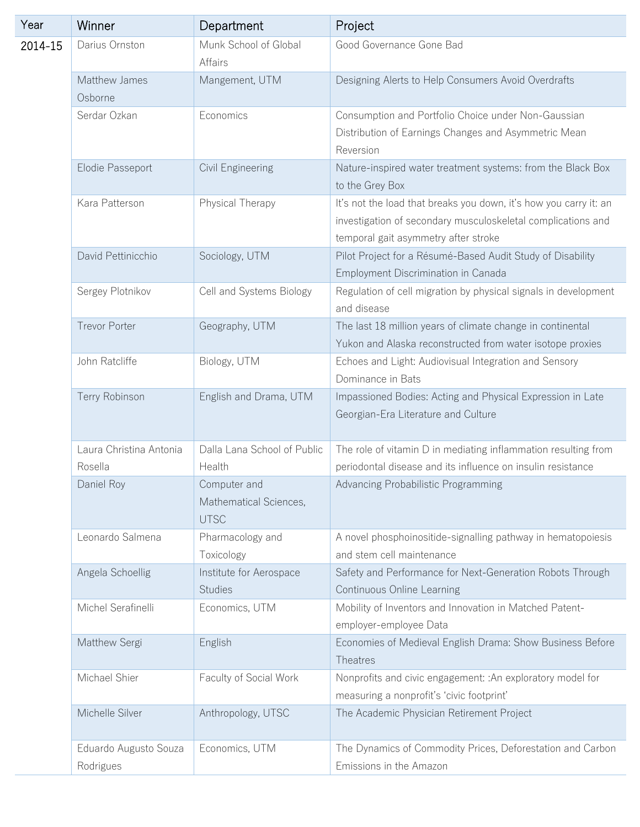| Year    | Winner                             | Department                                            | Project                                                                                                                                                                   |
|---------|------------------------------------|-------------------------------------------------------|---------------------------------------------------------------------------------------------------------------------------------------------------------------------------|
| 2014-15 | Darius Ornston                     | Munk School of Global<br>Affairs                      | Good Governance Gone Bad                                                                                                                                                  |
|         | Matthew James<br>Osborne           | Mangement, UTM                                        | Designing Alerts to Help Consumers Avoid Overdrafts                                                                                                                       |
|         | Serdar Ozkan                       | Economics                                             | Consumption and Portfolio Choice under Non-Gaussian<br>Distribution of Earnings Changes and Asymmetric Mean<br>Reversion                                                  |
|         | Elodie Passeport                   | Civil Engineering                                     | Nature-inspired water treatment systems: from the Black Box<br>to the Grey Box                                                                                            |
|         | Kara Patterson                     | Physical Therapy                                      | It's not the load that breaks you down, it's how you carry it: an<br>investigation of secondary musculoskeletal complications and<br>temporal gait asymmetry after stroke |
|         | David Pettinicchio                 | Sociology, UTM                                        | Pilot Project for a Résumé-Based Audit Study of Disability<br>Employment Discrimination in Canada                                                                         |
|         | Sergey Plotnikov                   | Cell and Systems Biology                              | Regulation of cell migration by physical signals in development<br>and disease                                                                                            |
|         | <b>Trevor Porter</b>               | Geography, UTM                                        | The last 18 million years of climate change in continental<br>Yukon and Alaska reconstructed from water isotope proxies                                                   |
|         | John Ratcliffe                     | Biology, UTM                                          | Echoes and Light: Audiovisual Integration and Sensory<br>Dominance in Bats                                                                                                |
|         | Terry Robinson                     | English and Drama, UTM                                | Impassioned Bodies: Acting and Physical Expression in Late<br>Georgian-Era Literature and Culture                                                                         |
|         | Laura Christina Antonia<br>Rosella | Dalla Lana School of Public<br>Health                 | The role of vitamin D in mediating inflammation resulting from<br>periodontal disease and its influence on insulin resistance                                             |
|         | Daniel Roy                         | Computer and<br>Mathematical Sciences,<br><b>UTSC</b> | Advancing Probabilistic Programming                                                                                                                                       |
|         | Leonardo Salmena                   | Pharmacology and<br>Toxicology                        | A novel phosphoinositide-signalling pathway in hematopoiesis<br>and stem cell maintenance                                                                                 |
|         | Angela Schoellig                   | Institute for Aerospace<br><b>Studies</b>             | Safety and Performance for Next-Generation Robots Through<br>Continuous Online Learning                                                                                   |
|         | Michel Serafinelli                 | Economics, UTM                                        | Mobility of Inventors and Innovation in Matched Patent-<br>employer-employee Data                                                                                         |
|         | Matthew Sergi                      | English                                               | Economies of Medieval English Drama: Show Business Before<br>Theatres                                                                                                     |
|         | Michael Shier                      | Faculty of Social Work                                | Nonprofits and civic engagement: : An exploratory model for<br>measuring a nonprofit's 'civic footprint'                                                                  |
|         | Michelle Silver                    | Anthropology, UTSC                                    | The Academic Physician Retirement Project                                                                                                                                 |
|         | Eduardo Augusto Souza<br>Rodrigues | Economics, UTM                                        | The Dynamics of Commodity Prices, Deforestation and Carbon<br>Emissions in the Amazon                                                                                     |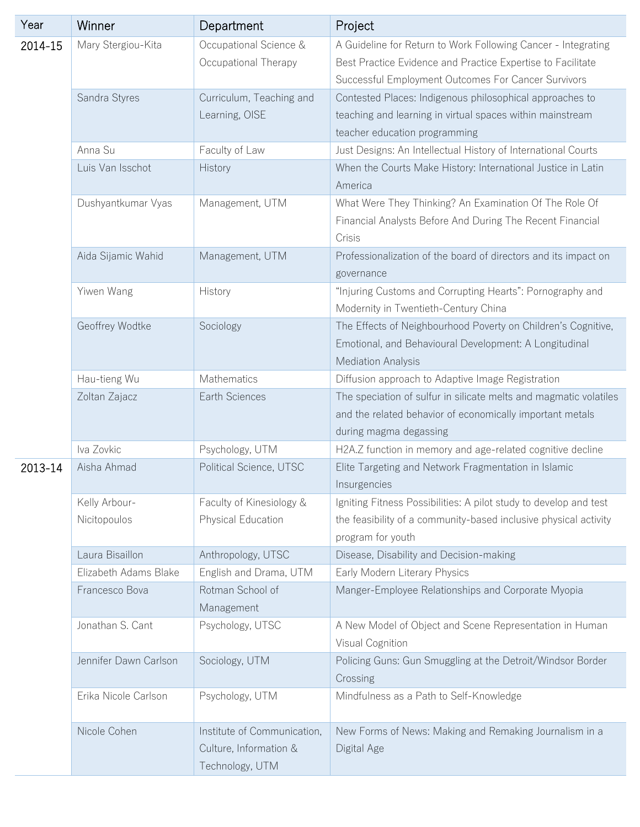| Year    | Winner                | Department                  | Project                                                                                                                                              |
|---------|-----------------------|-----------------------------|------------------------------------------------------------------------------------------------------------------------------------------------------|
| 2014-15 | Mary Stergiou-Kita    | Occupational Science &      | A Guideline for Return to Work Following Cancer - Integrating                                                                                        |
|         |                       | Occupational Therapy        | Best Practice Evidence and Practice Expertise to Facilitate                                                                                          |
|         |                       |                             | Successful Employment Outcomes For Cancer Survivors                                                                                                  |
|         | Sandra Styres         | Curriculum, Teaching and    | Contested Places: Indigenous philosophical approaches to                                                                                             |
|         |                       | Learning, OISE              | teaching and learning in virtual spaces within mainstream                                                                                            |
|         |                       |                             | teacher education programming                                                                                                                        |
|         | Anna Su               | Faculty of Law              | Just Designs: An Intellectual History of International Courts                                                                                        |
|         | Luis Van Isschot      | History                     | When the Courts Make History: International Justice in Latin                                                                                         |
|         |                       |                             | America                                                                                                                                              |
|         | Dushyantkumar Vyas    | Management, UTM             | What Were They Thinking? An Examination Of The Role Of                                                                                               |
|         |                       |                             | Financial Analysts Before And During The Recent Financial<br>Crisis                                                                                  |
|         | Aida Sijamic Wahid    | Management, UTM             | Professionalization of the board of directors and its impact on<br>governance                                                                        |
|         | Yiwen Wang            | History                     | "Injuring Customs and Corrupting Hearts": Pornography and<br>Modernity in Twentieth-Century China                                                    |
|         | Geoffrey Wodtke       | Sociology                   | The Effects of Neighbourhood Poverty on Children's Cognitive,<br>Emotional, and Behavioural Development: A Longitudinal<br><b>Mediation Analysis</b> |
|         | Hau-tieng Wu          | Mathematics                 | Diffusion approach to Adaptive Image Registration                                                                                                    |
|         | Zoltan Zajacz         | Earth Sciences              | The speciation of sulfur in silicate melts and magmatic volatiles                                                                                    |
|         |                       |                             | and the related behavior of economically important metals<br>during magma degassing                                                                  |
|         | Iva Zovkic            | Psychology, UTM             | H2A.Z function in memory and age-related cognitive decline                                                                                           |
| 2013-14 | Aisha Ahmad           | Political Science, UTSC     | Elite Targeting and Network Fragmentation in Islamic<br>Insurgencies                                                                                 |
|         | Kelly Arbour-         | Faculty of Kinesiology &    | Igniting Fitness Possibilities: A pilot study to develop and test                                                                                    |
|         | Nicitopoulos          | Physical Education          | the feasibility of a community-based inclusive physical activity                                                                                     |
|         |                       |                             | program for youth                                                                                                                                    |
|         | Laura Bisaillon       | Anthropology, UTSC          | Disease, Disability and Decision-making                                                                                                              |
|         | Elizabeth Adams Blake | English and Drama, UTM      | Early Modern Literary Physics                                                                                                                        |
|         | Francesco Bova        | Rotman School of            | Manger-Employee Relationships and Corporate Myopia                                                                                                   |
|         |                       | Management                  |                                                                                                                                                      |
|         | Jonathan S. Cant      | Psychology, UTSC            | A New Model of Object and Scene Representation in Human<br>Visual Cognition                                                                          |
|         | Jennifer Dawn Carlson | Sociology, UTM              | Policing Guns: Gun Smuggling at the Detroit/Windsor Border<br>Crossing                                                                               |
|         | Erika Nicole Carlson  | Psychology, UTM             | Mindfulness as a Path to Self-Knowledge                                                                                                              |
|         | Nicole Cohen          | Institute of Communication, | New Forms of News: Making and Remaking Journalism in a                                                                                               |
|         |                       | Culture, Information &      | Digital Age                                                                                                                                          |
|         |                       | Technology, UTM             |                                                                                                                                                      |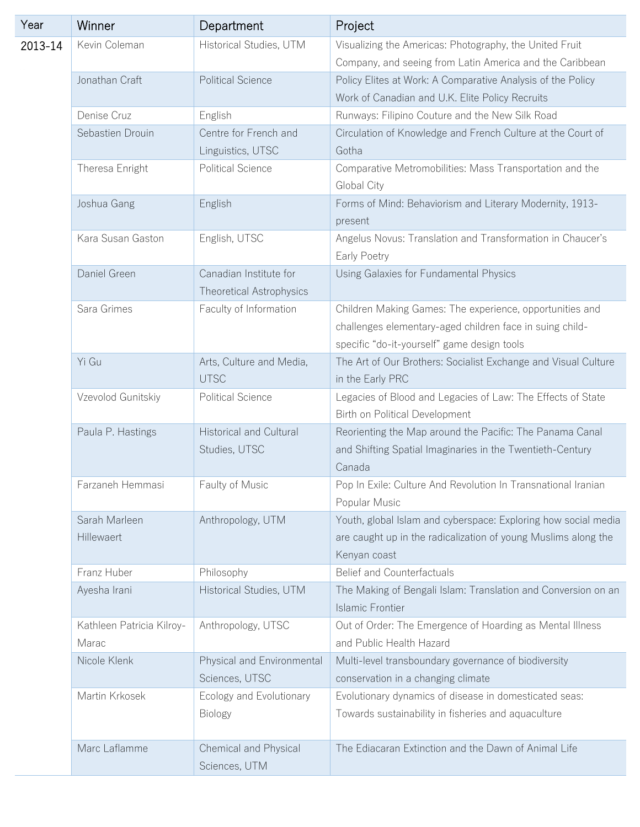| Year    | Winner                             | Department                                                | Project                                                                                                                                                             |
|---------|------------------------------------|-----------------------------------------------------------|---------------------------------------------------------------------------------------------------------------------------------------------------------------------|
| 2013-14 | Kevin Coleman                      | Historical Studies, UTM                                   | Visualizing the Americas: Photography, the United Fruit<br>Company, and seeing from Latin America and the Caribbean                                                 |
|         | Jonathan Craft                     | <b>Political Science</b>                                  | Policy Elites at Work: A Comparative Analysis of the Policy<br>Work of Canadian and U.K. Elite Policy Recruits                                                      |
|         | Denise Cruz                        | English                                                   | Runways: Filipino Couture and the New Silk Road                                                                                                                     |
|         | Sebastien Drouin                   | Centre for French and                                     | Circulation of Knowledge and French Culture at the Court of                                                                                                         |
|         |                                    | Linguistics, UTSC                                         | Gotha                                                                                                                                                               |
|         | Theresa Enright                    | <b>Political Science</b>                                  | Comparative Metromobilities: Mass Transportation and the<br>Global City                                                                                             |
|         | Joshua Gang                        | English                                                   | Forms of Mind: Behaviorism and Literary Modernity, 1913-<br>present                                                                                                 |
|         | Kara Susan Gaston                  | English, UTSC                                             | Angelus Novus: Translation and Transformation in Chaucer's<br>Early Poetry                                                                                          |
|         | Daniel Green                       | Canadian Institute for<br><b>Theoretical Astrophysics</b> | Using Galaxies for Fundamental Physics                                                                                                                              |
|         | Sara Grimes                        | Faculty of Information                                    | Children Making Games: The experience, opportunities and<br>challenges elementary-aged children face in suing child-<br>specific "do-it-yourself" game design tools |
|         | Yi Gu                              | Arts, Culture and Media,<br><b>UTSC</b>                   | The Art of Our Brothers: Socialist Exchange and Visual Culture<br>in the Early PRC                                                                                  |
|         | Vzevolod Gunitskiy                 | <b>Political Science</b>                                  | Legacies of Blood and Legacies of Law: The Effects of State<br>Birth on Political Development                                                                       |
|         | Paula P. Hastings                  | <b>Historical and Cultural</b><br>Studies, UTSC           | Reorienting the Map around the Pacific: The Panama Canal<br>and Shifting Spatial Imaginaries in the Twentieth-Century<br>Canada                                     |
|         | Farzaneh Hemmasi                   | Faulty of Music                                           | Pop In Exile: Culture And Revolution In Transnational Iranian<br>Popular Music                                                                                      |
|         | Sarah Marleen<br>Hillewaert        | Anthropology, UTM                                         | Youth, global Islam and cyberspace: Exploring how social media<br>are caught up in the radicalization of young Muslims along the<br>Kenyan coast                    |
|         | Franz Huber                        | Philosophy                                                | <b>Belief and Counterfactuals</b>                                                                                                                                   |
|         | Ayesha Irani                       | Historical Studies, UTM                                   | The Making of Bengali Islam: Translation and Conversion on an<br><b>Islamic Frontier</b>                                                                            |
|         | Kathleen Patricia Kilroy-<br>Marac | Anthropology, UTSC                                        | Out of Order: The Emergence of Hoarding as Mental Illness<br>and Public Health Hazard                                                                               |
|         | Nicole Klenk                       | Physical and Environmental<br>Sciences, UTSC              | Multi-level transboundary governance of biodiversity<br>conservation in a changing climate                                                                          |
|         | Martin Krkosek                     | Ecology and Evolutionary<br><b>Biology</b>                | Evolutionary dynamics of disease in domesticated seas:<br>Towards sustainability in fisheries and aquaculture                                                       |
|         | Marc Laflamme                      | Chemical and Physical<br>Sciences, UTM                    | The Ediacaran Extinction and the Dawn of Animal Life                                                                                                                |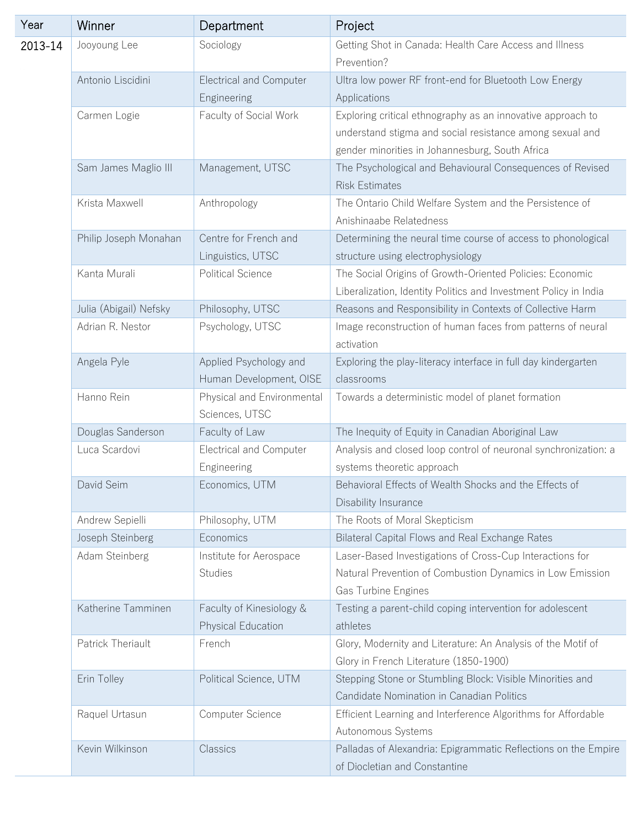| Year    | Winner                 | Department                                        | Project                                                                                                                                                                    |
|---------|------------------------|---------------------------------------------------|----------------------------------------------------------------------------------------------------------------------------------------------------------------------------|
| 2013-14 | Jooyoung Lee           | Sociology                                         | Getting Shot in Canada: Health Care Access and Illness<br>Prevention?                                                                                                      |
|         | Antonio Liscidini      | <b>Electrical and Computer</b><br>Engineering     | Ultra low power RF front-end for Bluetooth Low Energy<br>Applications                                                                                                      |
|         | Carmen Logie           | Faculty of Social Work                            | Exploring critical ethnography as an innovative approach to<br>understand stigma and social resistance among sexual and<br>gender minorities in Johannesburg, South Africa |
|         | Sam James Maglio III   | Management, UTSC                                  | The Psychological and Behavioural Consequences of Revised<br><b>Risk Estimates</b>                                                                                         |
|         | Krista Maxwell         | Anthropology                                      | The Ontario Child Welfare System and the Persistence of<br>Anishinaabe Relatedness                                                                                         |
|         | Philip Joseph Monahan  | Centre for French and<br>Linguistics, UTSC        | Determining the neural time course of access to phonological<br>structure using electrophysiology                                                                          |
|         | Kanta Murali           | <b>Political Science</b>                          | The Social Origins of Growth-Oriented Policies: Economic<br>Liberalization, Identity Politics and Investment Policy in India                                               |
|         | Julia (Abigail) Nefsky | Philosophy, UTSC                                  | Reasons and Responsibility in Contexts of Collective Harm                                                                                                                  |
|         | Adrian R. Nestor       | Psychology, UTSC                                  | Image reconstruction of human faces from patterns of neural<br>activation                                                                                                  |
|         | Angela Pyle            | Applied Psychology and<br>Human Development, OISE | Exploring the play-literacy interface in full day kindergarten<br>classrooms                                                                                               |
|         | Hanno Rein             | Physical and Environmental<br>Sciences, UTSC      | Towards a deterministic model of planet formation                                                                                                                          |
|         | Douglas Sanderson      | Faculty of Law                                    | The Inequity of Equity in Canadian Aboriginal Law                                                                                                                          |
|         | Luca Scardovi          | Electrical and Computer<br>Engineering            | Analysis and closed loop control of neuronal synchronization: a<br>systems theoretic approach                                                                              |
|         | David Seim             | Economics, UTM                                    | Behavioral Effects of Wealth Shocks and the Effects of<br>Disability Insurance                                                                                             |
|         | Andrew Sepielli        | Philosophy, UTM                                   | The Roots of Moral Skepticism                                                                                                                                              |
|         | Joseph Steinberg       | Economics                                         | Bilateral Capital Flows and Real Exchange Rates                                                                                                                            |
|         | Adam Steinberg         | Institute for Aerospace<br><b>Studies</b>         | Laser-Based Investigations of Cross-Cup Interactions for<br>Natural Prevention of Combustion Dynamics in Low Emission<br>Gas Turbine Engines                               |
|         | Katherine Tamminen     | Faculty of Kinesiology &<br>Physical Education    | Testing a parent-child coping intervention for adolescent<br>athletes                                                                                                      |
|         | Patrick Theriault      | French                                            | Glory, Modernity and Literature: An Analysis of the Motif of<br>Glory in French Literature (1850-1900)                                                                     |
|         | Erin Tolley            | Political Science, UTM                            | Stepping Stone or Stumbling Block: Visible Minorities and<br>Candidate Nomination in Canadian Politics                                                                     |
|         | Raquel Urtasun         | Computer Science                                  | Efficient Learning and Interference Algorithms for Affordable<br>Autonomous Systems                                                                                        |
|         | Kevin Wilkinson        | Classics                                          | Palladas of Alexandria: Epigrammatic Reflections on the Empire<br>of Diocletian and Constantine                                                                            |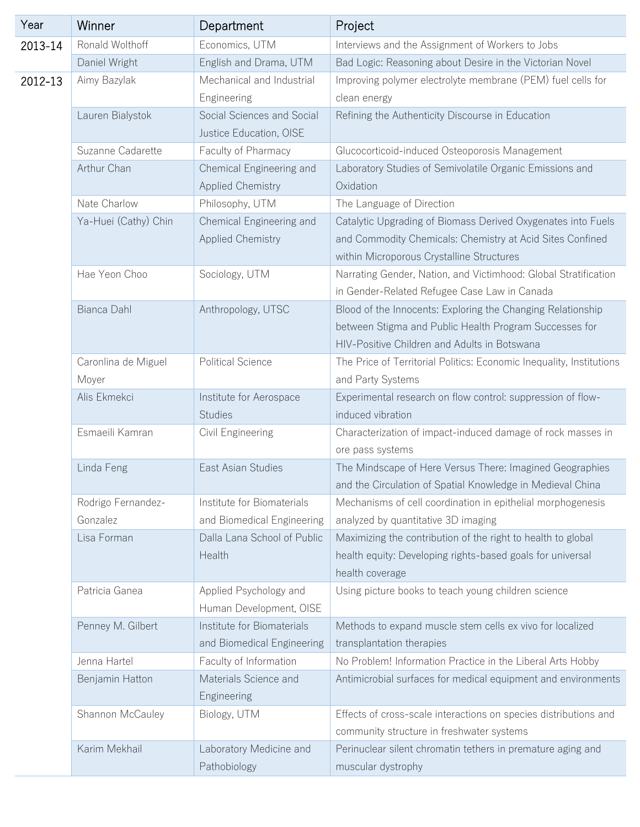| Year    | Winner               | Department                  | Project                                                              |
|---------|----------------------|-----------------------------|----------------------------------------------------------------------|
| 2013-14 | Ronald Wolthoff      | Economics, UTM              | Interviews and the Assignment of Workers to Jobs                     |
|         | Daniel Wright        | English and Drama, UTM      | Bad Logic: Reasoning about Desire in the Victorian Novel             |
| 2012-13 | Aimy Bazylak         | Mechanical and Industrial   | Improving polymer electrolyte membrane (PEM) fuel cells for          |
|         |                      | Engineering                 | clean energy                                                         |
|         | Lauren Bialystok     | Social Sciences and Social  | Refining the Authenticity Discourse in Education                     |
|         |                      | Justice Education, OISE     |                                                                      |
|         | Suzanne Cadarette    | Faculty of Pharmacy         | Glucocorticoid-induced Osteoporosis Management                       |
|         | Arthur Chan          | Chemical Engineering and    | Laboratory Studies of Semivolatile Organic Emissions and             |
|         |                      | <b>Applied Chemistry</b>    | Oxidation                                                            |
|         | Nate Charlow         | Philosophy, UTM             | The Language of Direction                                            |
|         | Ya-Huei (Cathy) Chin | Chemical Engineering and    | Catalytic Upgrading of Biomass Derived Oxygenates into Fuels         |
|         |                      | <b>Applied Chemistry</b>    | and Commodity Chemicals: Chemistry at Acid Sites Confined            |
|         |                      |                             | within Microporous Crystalline Structures                            |
|         | Hae Yeon Choo        | Sociology, UTM              | Narrating Gender, Nation, and Victimhood: Global Stratification      |
|         |                      |                             | in Gender-Related Refugee Case Law in Canada                         |
|         | Bianca Dahl          | Anthropology, UTSC          | Blood of the Innocents: Exploring the Changing Relationship          |
|         |                      |                             | between Stigma and Public Health Program Successes for               |
|         |                      |                             | HIV-Positive Children and Adults in Botswana                         |
|         | Caronlina de Miguel  | <b>Political Science</b>    | The Price of Territorial Politics: Economic Inequality, Institutions |
|         | Moyer                |                             | and Party Systems                                                    |
|         | Alis Ekmekci         | Institute for Aerospace     | Experimental research on flow control: suppression of flow-          |
|         |                      | <b>Studies</b>              | induced vibration                                                    |
|         | Esmaeili Kamran      | Civil Engineering           | Characterization of impact-induced damage of rock masses in          |
|         |                      |                             | ore pass systems                                                     |
|         | Linda Feng           | East Asian Studies          | The Mindscape of Here Versus There: Imagined Geographies             |
|         |                      |                             | and the Circulation of Spatial Knowledge in Medieval China           |
|         | Rodrigo Fernandez-   | Institute for Biomaterials  | Mechanisms of cell coordination in epithelial morphogenesis          |
|         | Gonzalez             | and Biomedical Engineering  | analyzed by quantitative 3D imaging                                  |
|         | Lisa Forman          | Dalla Lana School of Public | Maximizing the contribution of the right to health to global         |
|         |                      | Health                      | health equity: Developing rights-based goals for universal           |
|         |                      |                             | health coverage                                                      |
|         | Patricia Ganea       | Applied Psychology and      | Using picture books to teach young children science                  |
|         |                      | Human Development, OISE     |                                                                      |
|         | Penney M. Gilbert    | Institute for Biomaterials  | Methods to expand muscle stem cells ex vivo for localized            |
|         |                      | and Biomedical Engineering  | transplantation therapies                                            |
|         | Jenna Hartel         | Faculty of Information      | No Problem! Information Practice in the Liberal Arts Hobby           |
|         | Benjamin Hatton      | Materials Science and       | Antimicrobial surfaces for medical equipment and environments        |
|         |                      | Engineering                 |                                                                      |
|         | Shannon McCauley     | Biology, UTM                | Effects of cross-scale interactions on species distributions and     |
|         |                      |                             | community structure in freshwater systems                            |
|         | Karim Mekhail        | Laboratory Medicine and     | Perinuclear silent chromatin tethers in premature aging and          |
|         |                      | Pathobiology                | muscular dystrophy                                                   |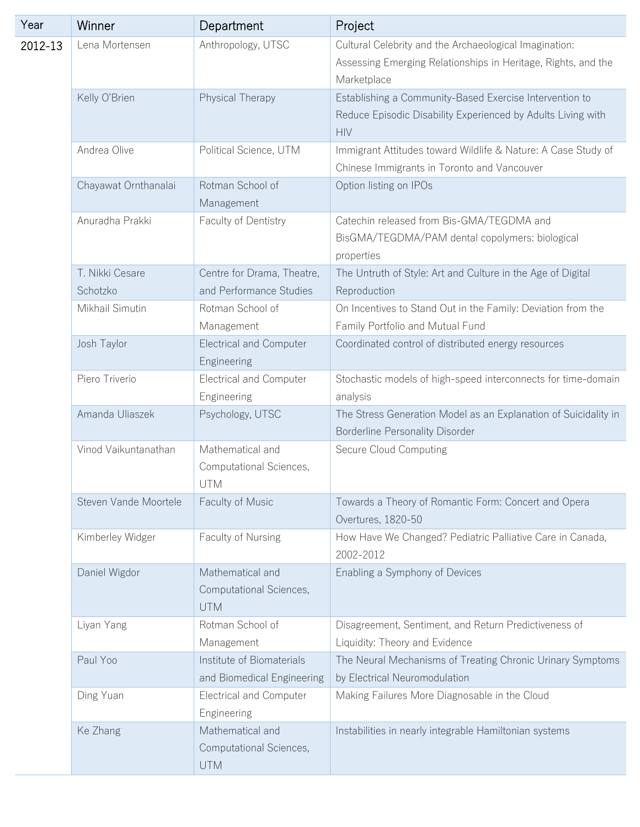| Year    | Winner                      | Department                                                | Project                                                                                                                                |
|---------|-----------------------------|-----------------------------------------------------------|----------------------------------------------------------------------------------------------------------------------------------------|
| 2012-13 | Lena Mortensen              | Anthropology, UTSC                                        | Cultural Celebrity and the Archaeological Imagination:<br>Assessing Emerging Relationships in Heritage, Rights, and the<br>Marketplace |
|         | Kelly O'Brien               | Physical Therapy                                          | Establishing a Community-Based Exercise Intervention to<br>Reduce Episodic Disability Experienced by Adults Living with<br><b>HIV</b>  |
|         | Andrea Olive                | Political Science, UTM                                    | Immigrant Attitudes toward Wildlife & Nature: A Case Study of<br>Chinese Immigrants in Toronto and Vancouver                           |
|         | Chayawat Ornthanalai        | Rotman School of<br>Management                            | Option listing on IPOs                                                                                                                 |
|         | Anuradha Prakki             | Faculty of Dentistry                                      | Catechin released from Bis-GMA/TEGDMA and<br>BisGMA/TEGDMA/PAM dental copolymers: biological<br>properties                             |
|         | T. Nikki Cesare<br>Schotzko | Centre for Drama, Theatre,<br>and Performance Studies     | The Untruth of Style: Art and Culture in the Age of Digital<br>Reproduction                                                            |
|         | Mikhail Simutin             | Rotman School of<br>Management                            | On Incentives to Stand Out in the Family: Deviation from the<br>Family Portfolio and Mutual Fund                                       |
|         | Josh Taylor                 | <b>Electrical and Computer</b><br>Engineering             | Coordinated control of distributed energy resources                                                                                    |
|         | Piero Triverio              | <b>Electrical and Computer</b><br>Engineering             | Stochastic models of high-speed interconnects for time-domain<br>analysis                                                              |
|         | Amanda Uliaszek             | Psychology, UTSC                                          | The Stress Generation Model as an Explanation of Suicidality in<br><b>Borderline Personality Disorder</b>                              |
|         | Vinod Vaikuntanathan        | Mathematical and<br>Computational Sciences,<br><b>UTM</b> | Secure Cloud Computing                                                                                                                 |
|         | Steven Vande Moortele       | Faculty of Music                                          | Towards a Theory of Romantic Form: Concert and Opera<br>Overtures, 1820-50                                                             |
|         | Kimberley Widger            | Faculty of Nursing                                        | How Have We Changed? Pediatric Palliative Care in Canada,<br>2002-2012                                                                 |
|         | Daniel Wigdor               | Mathematical and<br>Computational Sciences,<br><b>UTM</b> | Enabling a Symphony of Devices                                                                                                         |
|         | Liyan Yang                  | Rotman School of<br>Management                            | Disagreement, Sentiment, and Return Predictiveness of<br>Liquidity: Theory and Evidence                                                |
|         | Paul Yoo                    | Institute of Biomaterials<br>and Biomedical Engineering   | The Neural Mechanisms of Treating Chronic Urinary Symptoms<br>by Electrical Neuromodulation                                            |
|         | Ding Yuan                   | <b>Electrical and Computer</b><br>Engineering             | Making Failures More Diagnosable in the Cloud                                                                                          |
|         | Ke Zhang                    | Mathematical and<br>Computational Sciences,<br>UTM        | Instabilities in nearly integrable Hamiltonian systems                                                                                 |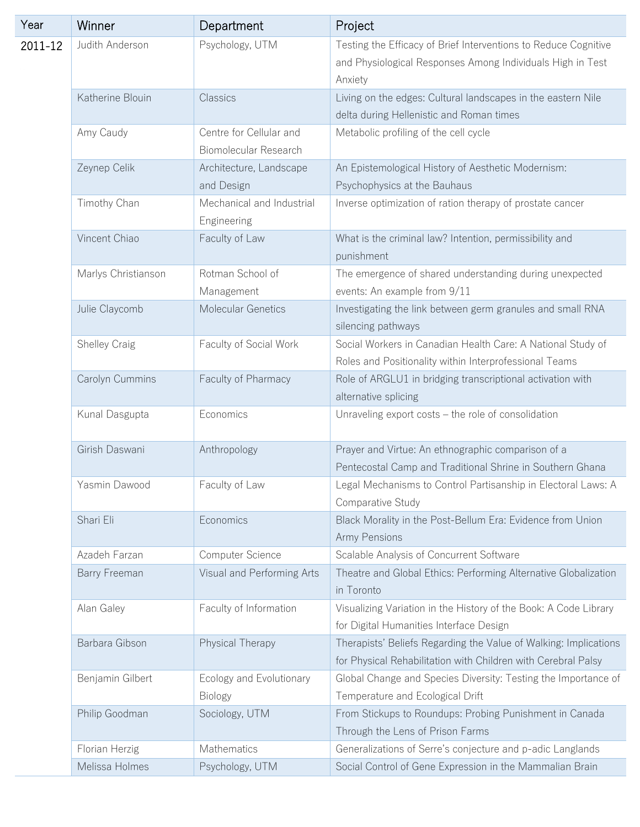| Year    | Winner              | Department                                       | Project                                                                                                                                  |
|---------|---------------------|--------------------------------------------------|------------------------------------------------------------------------------------------------------------------------------------------|
| 2011-12 | Judith Anderson     | Psychology, UTM                                  | Testing the Efficacy of Brief Interventions to Reduce Cognitive<br>and Physiological Responses Among Individuals High in Test<br>Anxiety |
|         | Katherine Blouin    | Classics                                         | Living on the edges: Cultural landscapes in the eastern Nile<br>delta during Hellenistic and Roman times                                 |
|         | Amy Caudy           | Centre for Cellular and<br>Biomolecular Research | Metabolic profiling of the cell cycle                                                                                                    |
|         | Zeynep Celik        | Architecture, Landscape<br>and Design            | An Epistemological History of Aesthetic Modernism:<br>Psychophysics at the Bauhaus                                                       |
|         | Timothy Chan        | Mechanical and Industrial<br>Engineering         | Inverse optimization of ration therapy of prostate cancer                                                                                |
|         | Vincent Chiao       | Faculty of Law                                   | What is the criminal law? Intention, permissibility and<br>punishment                                                                    |
|         | Marlys Christianson | Rotman School of<br>Management                   | The emergence of shared understanding during unexpected<br>events: An example from 9/11                                                  |
|         | Julie Claycomb      | Molecular Genetics                               | Investigating the link between germ granules and small RNA<br>silencing pathways                                                         |
|         | Shelley Craig       | Faculty of Social Work                           | Social Workers in Canadian Health Care: A National Study of<br>Roles and Positionality within Interprofessional Teams                    |
|         | Carolyn Cummins     | Faculty of Pharmacy                              | Role of ARGLU1 in bridging transcriptional activation with<br>alternative splicing                                                       |
|         | Kunal Dasgupta      | Economics                                        | Unraveling export costs - the role of consolidation                                                                                      |
|         | Girish Daswani      | Anthropology                                     | Prayer and Virtue: An ethnographic comparison of a<br>Pentecostal Camp and Traditional Shrine in Southern Ghana                          |
|         | Yasmin Dawood       | Faculty of Law                                   | Legal Mechanisms to Control Partisanship in Electoral Laws: A<br>Comparative Study                                                       |
|         | Shari Eli           | Economics                                        | Black Morality in the Post-Bellum Era: Evidence from Union<br>Army Pensions                                                              |
|         | Azadeh Farzan       | Computer Science                                 | Scalable Analysis of Concurrent Software                                                                                                 |
|         | Barry Freeman       | Visual and Performing Arts                       | Theatre and Global Ethics: Performing Alternative Globalization<br>in Toronto                                                            |
|         | Alan Galey          | Faculty of Information                           | Visualizing Variation in the History of the Book: A Code Library<br>for Digital Humanities Interface Design                              |
|         | Barbara Gibson      | Physical Therapy                                 | Therapists' Beliefs Regarding the Value of Walking: Implications<br>for Physical Rehabilitation with Children with Cerebral Palsy        |
|         | Benjamin Gilbert    | Ecology and Evolutionary<br><b>Biology</b>       | Global Change and Species Diversity: Testing the Importance of<br>Temperature and Ecological Drift                                       |
|         | Philip Goodman      | Sociology, UTM                                   | From Stickups to Roundups: Probing Punishment in Canada<br>Through the Lens of Prison Farms                                              |
|         | Florian Herzig      | Mathematics                                      | Generalizations of Serre's conjecture and p-adic Langlands                                                                               |
|         | Melissa Holmes      | Psychology, UTM                                  | Social Control of Gene Expression in the Mammalian Brain                                                                                 |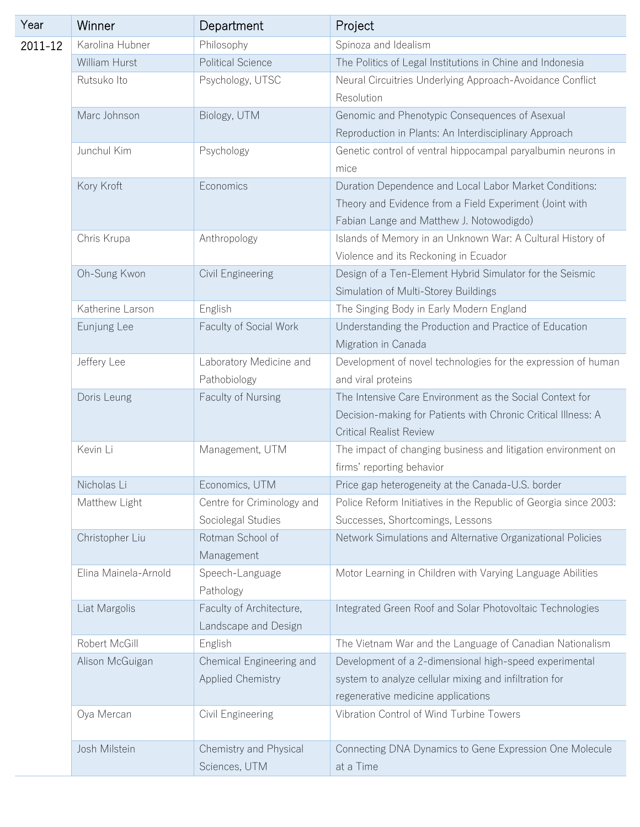| Year    | Winner               | Department                                           | Project                                                                                                                                                       |
|---------|----------------------|------------------------------------------------------|---------------------------------------------------------------------------------------------------------------------------------------------------------------|
| 2011-12 | Karolina Hubner      | Philosophy                                           | Spinoza and Idealism                                                                                                                                          |
|         | William Hurst        | <b>Political Science</b>                             | The Politics of Legal Institutions in Chine and Indonesia                                                                                                     |
|         | Rutsuko Ito          | Psychology, UTSC                                     | Neural Circuitries Underlying Approach-Avoidance Conflict<br>Resolution                                                                                       |
|         | Marc Johnson         | Biology, UTM                                         | Genomic and Phenotypic Consequences of Asexual<br>Reproduction in Plants: An Interdisciplinary Approach                                                       |
|         | Junchul Kim          | Psychology                                           | Genetic control of ventral hippocampal paryalbumin neurons in<br>mice                                                                                         |
|         | Kory Kroft           | Economics                                            | Duration Dependence and Local Labor Market Conditions:<br>Theory and Evidence from a Field Experiment (Joint with<br>Fabian Lange and Matthew J. Notowodigdo) |
|         | Chris Krupa          | Anthropology                                         | Islands of Memory in an Unknown War: A Cultural History of<br>Violence and its Reckoning in Ecuador                                                           |
|         | Oh-Sung Kwon         | Civil Engineering                                    | Design of a Ten-Element Hybrid Simulator for the Seismic<br>Simulation of Multi-Storey Buildings                                                              |
|         | Katherine Larson     | English                                              | The Singing Body in Early Modern England                                                                                                                      |
|         | Eunjung Lee          | Faculty of Social Work                               | Understanding the Production and Practice of Education<br>Migration in Canada                                                                                 |
|         | Jeffery Lee          | Laboratory Medicine and<br>Pathobiology              | Development of novel technologies for the expression of human<br>and viral proteins                                                                           |
|         | Doris Leung          | Faculty of Nursing                                   | The Intensive Care Environment as the Social Context for<br>Decision-making for Patients with Chronic Critical Illness: A<br><b>Critical Realist Review</b>   |
|         | Kevin Li             | Management, UTM                                      | The impact of changing business and litigation environment on<br>firms' reporting behavior                                                                    |
|         | Nicholas Li          | Economics, UTM                                       | Price gap heterogeneity at the Canada-U.S. border                                                                                                             |
|         | Matthew Light        | Centre for Criminology and<br>Sociolegal Studies     | Police Reform Initiatives in the Republic of Georgia since 2003:<br>Successes, Shortcomings, Lessons                                                          |
|         | Christopher Liu      | Rotman School of<br>Management                       | Network Simulations and Alternative Organizational Policies                                                                                                   |
|         | Elina Mainela-Arnold | Speech-Language<br>Pathology                         | Motor Learning in Children with Varying Language Abilities                                                                                                    |
|         | Liat Margolis        | Faculty of Architecture,<br>Landscape and Design     | Integrated Green Roof and Solar Photovoltaic Technologies                                                                                                     |
|         | Robert McGill        | English                                              | The Vietnam War and the Language of Canadian Nationalism                                                                                                      |
|         | Alison McGuigan      | Chemical Engineering and<br><b>Applied Chemistry</b> | Development of a 2-dimensional high-speed experimental<br>system to analyze cellular mixing and infiltration for<br>regenerative medicine applications        |
|         | Oya Mercan           | Civil Engineering                                    | Vibration Control of Wind Turbine Towers                                                                                                                      |
|         | Josh Milstein        | Chemistry and Physical<br>Sciences, UTM              | Connecting DNA Dynamics to Gene Expression One Molecule<br>at a Time                                                                                          |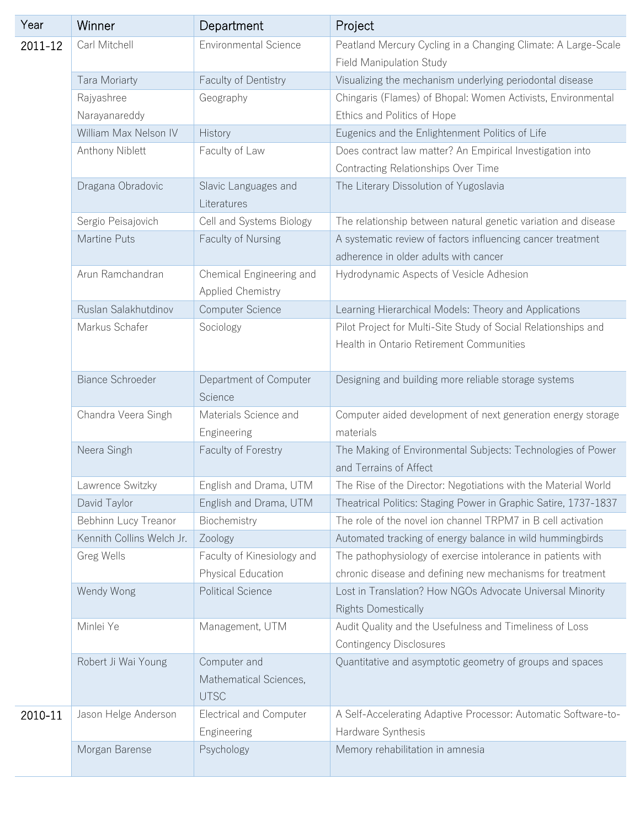| Year    | Winner                    | Department                                            | Project                                                                                                    |
|---------|---------------------------|-------------------------------------------------------|------------------------------------------------------------------------------------------------------------|
| 2011-12 | Carl Mitchell             | <b>Environmental Science</b>                          | Peatland Mercury Cycling in a Changing Climate: A Large-Scale                                              |
|         |                           |                                                       | Field Manipulation Study                                                                                   |
|         | Tara Moriarty             | Faculty of Dentistry                                  | Visualizing the mechanism underlying periodontal disease                                                   |
|         | Rajyashree                | Geography                                             | Chingaris (Flames) of Bhopal: Women Activists, Environmental                                               |
|         | Narayanareddy             |                                                       | Ethics and Politics of Hope                                                                                |
|         | William Max Nelson IV     | History                                               | Eugenics and the Enlightenment Politics of Life                                                            |
|         | Anthony Niblett           | Faculty of Law                                        | Does contract law matter? An Empirical Investigation into                                                  |
|         |                           |                                                       | Contracting Relationships Over Time                                                                        |
|         | Dragana Obradovic         | Slavic Languages and<br>Literatures                   | The Literary Dissolution of Yugoslavia                                                                     |
|         | Sergio Peisajovich        | Cell and Systems Biology                              | The relationship between natural genetic variation and disease                                             |
|         | Martine Puts              | Faculty of Nursing                                    | A systematic review of factors influencing cancer treatment                                                |
|         |                           |                                                       | adherence in older adults with cancer                                                                      |
|         | Arun Ramchandran          | Chemical Engineering and<br><b>Applied Chemistry</b>  | Hydrodynamic Aspects of Vesicle Adhesion                                                                   |
|         | Ruslan Salakhutdinov      | Computer Science                                      | Learning Hierarchical Models: Theory and Applications                                                      |
|         | Markus Schafer            | Sociology                                             | Pilot Project for Multi-Site Study of Social Relationships and<br>Health in Ontario Retirement Communities |
|         | <b>Biance Schroeder</b>   | Department of Computer<br>Science                     | Designing and building more reliable storage systems                                                       |
|         | Chandra Veera Singh       | Materials Science and<br>Engineering                  | Computer aided development of next generation energy storage<br>materials                                  |
|         | Neera Singh               | Faculty of Forestry                                   | The Making of Environmental Subjects: Technologies of Power<br>and Terrains of Affect                      |
|         | Lawrence Switzky          | English and Drama, UTM                                | The Rise of the Director: Negotiations with the Material World                                             |
|         | David Taylor              | English and Drama, UTM                                | Theatrical Politics: Staging Power in Graphic Satire, 1737-1837                                            |
|         | Bebhinn Lucy Treanor      | Biochemistry                                          | The role of the novel ion channel TRPM7 in B cell activation                                               |
|         | Kennith Collins Welch Jr. | Zoology                                               | Automated tracking of energy balance in wild hummingbirds                                                  |
|         | Greg Wells                | Faculty of Kinesiology and                            | The pathophysiology of exercise intolerance in patients with                                               |
|         |                           | Physical Education                                    | chronic disease and defining new mechanisms for treatment                                                  |
|         | Wendy Wong                | <b>Political Science</b>                              | Lost in Translation? How NGOs Advocate Universal Minority<br><b>Rights Domestically</b>                    |
|         | Minlei Ye                 | Management, UTM                                       | Audit Quality and the Usefulness and Timeliness of Loss<br><b>Contingency Disclosures</b>                  |
|         | Robert Ji Wai Young       | Computer and<br>Mathematical Sciences,<br><b>UTSC</b> | Quantitative and asymptotic geometry of groups and spaces                                                  |
| 2010-11 | Jason Helge Anderson      | <b>Electrical and Computer</b><br>Engineering         | A Self-Accelerating Adaptive Processor: Automatic Software-to-<br>Hardware Synthesis                       |
|         | Morgan Barense            | Psychology                                            | Memory rehabilitation in amnesia                                                                           |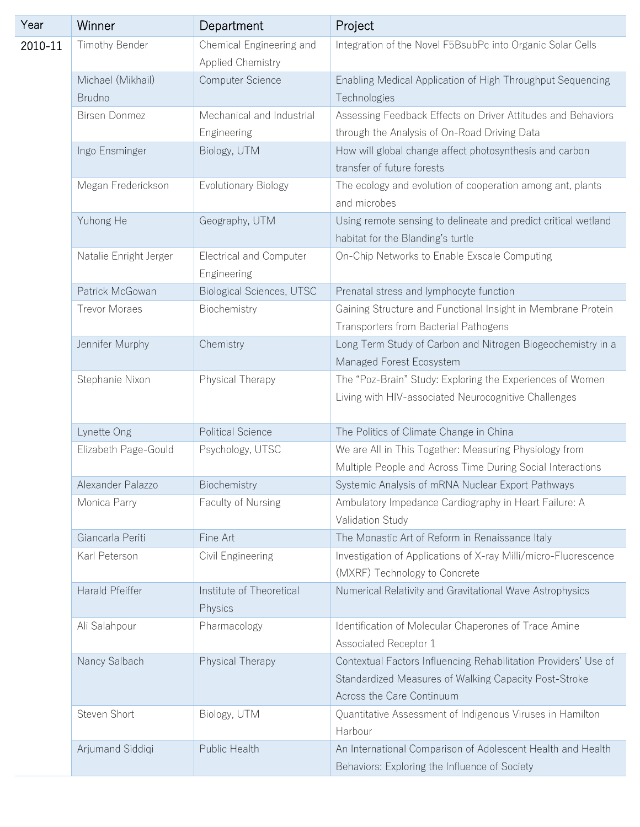| Year    | Winner                      | Department                                    | Project                                                                                                                                               |
|---------|-----------------------------|-----------------------------------------------|-------------------------------------------------------------------------------------------------------------------------------------------------------|
| 2010-11 | Timothy Bender              | Chemical Engineering and<br>Applied Chemistry | Integration of the Novel F5BsubPc into Organic Solar Cells                                                                                            |
|         | Michael (Mikhail)<br>Brudno | Computer Science                              | Enabling Medical Application of High Throughput Sequencing<br>Technologies                                                                            |
|         | <b>Birsen Donmez</b>        | Mechanical and Industrial<br>Engineering      | Assessing Feedback Effects on Driver Attitudes and Behaviors<br>through the Analysis of On-Road Driving Data                                          |
|         | Ingo Ensminger              | Biology, UTM                                  | How will global change affect photosynthesis and carbon<br>transfer of future forests                                                                 |
|         | Megan Frederickson          | Evolutionary Biology                          | The ecology and evolution of cooperation among ant, plants<br>and microbes                                                                            |
|         | Yuhong He                   | Geography, UTM                                | Using remote sensing to delineate and predict critical wetland<br>habitat for the Blanding's turtle                                                   |
|         | Natalie Enright Jerger      | <b>Electrical and Computer</b><br>Engineering | On-Chip Networks to Enable Exscale Computing                                                                                                          |
|         | Patrick McGowan             | Biological Sciences, UTSC                     | Prenatal stress and lymphocyte function                                                                                                               |
|         | <b>Trevor Moraes</b>        | Biochemistry                                  | Gaining Structure and Functional Insight in Membrane Protein<br>Transporters from Bacterial Pathogens                                                 |
|         | Jennifer Murphy             | Chemistry                                     | Long Term Study of Carbon and Nitrogen Biogeochemistry in a<br>Managed Forest Ecosystem                                                               |
|         | Stephanie Nixon             | Physical Therapy                              | The "Poz-Brain" Study: Exploring the Experiences of Women<br>Living with HIV-associated Neurocognitive Challenges                                     |
|         | Lynette Ong                 | <b>Political Science</b>                      | The Politics of Climate Change in China                                                                                                               |
|         | Elizabeth Page-Gould        | Psychology, UTSC                              | We are All in This Together: Measuring Physiology from<br>Multiple People and Across Time During Social Interactions                                  |
|         | Alexander Palazzo           | Biochemistry                                  | Systemic Analysis of mRNA Nuclear Export Pathways                                                                                                     |
|         | Monica Parry                | Faculty of Nursing                            | Ambulatory Impedance Cardiography in Heart Failure: A<br>Validation Study                                                                             |
|         | Giancarla Periti            | Fine Art                                      | The Monastic Art of Reform in Renaissance Italy                                                                                                       |
|         | Karl Peterson               | Civil Engineering                             | Investigation of Applications of X-ray Milli/micro-Fluorescence<br>(MXRF) Technology to Concrete                                                      |
|         | Harald Pfeiffer             | Institute of Theoretical<br>Physics           | Numerical Relativity and Gravitational Wave Astrophysics                                                                                              |
|         | Ali Salahpour               | Pharmacology                                  | Identification of Molecular Chaperones of Trace Amine<br>Associated Receptor 1                                                                        |
|         | Nancy Salbach               | Physical Therapy                              | Contextual Factors Influencing Rehabilitation Providers' Use of<br>Standardized Measures of Walking Capacity Post-Stroke<br>Across the Care Continuum |
|         | Steven Short                | Biology, UTM                                  | Quantitative Assessment of Indigenous Viruses in Hamilton<br>Harbour                                                                                  |
|         | Arjumand Siddiqi            | Public Health                                 | An International Comparison of Adolescent Health and Health<br>Behaviors: Exploring the Influence of Society                                          |